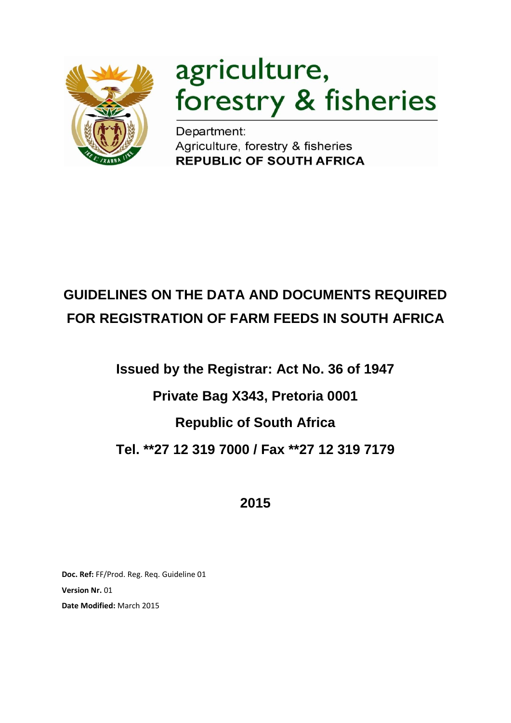

# agriculture, forestry & fisheries

**Department:<br>Agriculture, forestry & fisheries<br>REPUBLIC OF SOUTH AFRICA** 

## **GUIDELINES ON THE DATA AND DOCUMENTS REQUIRED FOR REGISTRATION OF FARM FEEDS IN SOUTH AFRICA**

## **Issued by the Registrar: Act No. 36 of 1947 Private Bag X343, Pretoria 0001 Republic of South Africa Tel. \*\*27 12 319 7000 / Fax \*\*27 12 319 7179**

**2015**

**Doc. Ref:** FF/Prod. Reg. Req. Guideline 01 **Version Nr.** 01 **Date Modified:** March 2015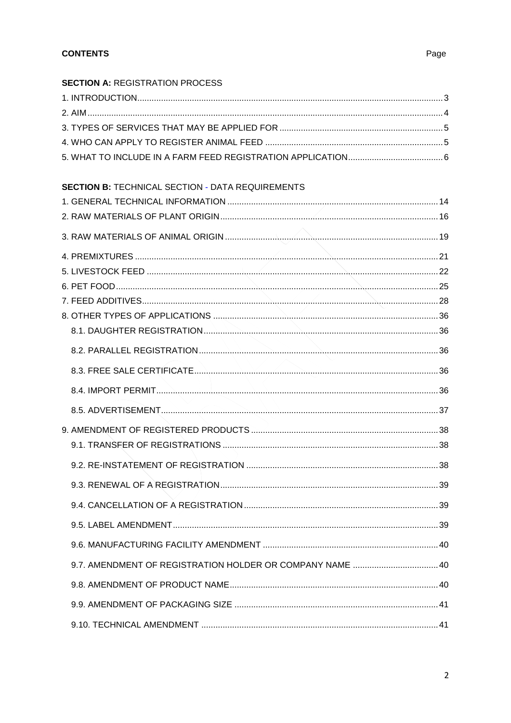## Page

| <b>SECTION A: REGISTRATION PROCESS</b>                  |  |
|---------------------------------------------------------|--|
|                                                         |  |
|                                                         |  |
|                                                         |  |
|                                                         |  |
|                                                         |  |
| <b>SECTION B: TECHNICAL SECTION - DATA REQUIREMENTS</b> |  |
|                                                         |  |
|                                                         |  |
|                                                         |  |
|                                                         |  |
|                                                         |  |
|                                                         |  |
|                                                         |  |
|                                                         |  |
|                                                         |  |
|                                                         |  |
|                                                         |  |
|                                                         |  |
|                                                         |  |
|                                                         |  |
|                                                         |  |
|                                                         |  |
|                                                         |  |
|                                                         |  |
|                                                         |  |
|                                                         |  |
|                                                         |  |
|                                                         |  |
|                                                         |  |
|                                                         |  |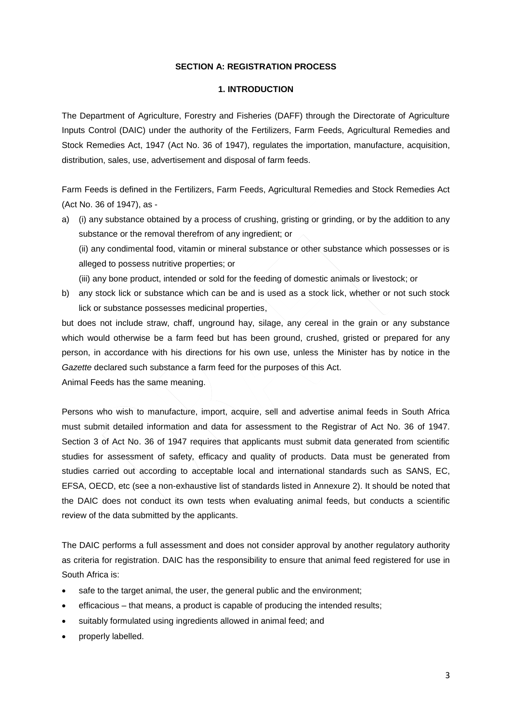#### **SECTION A: REGISTRATION PROCESS**

## **1. INTRODUCTION**

<span id="page-2-1"></span><span id="page-2-0"></span>The Department of Agriculture, Forestry and Fisheries (DAFF) through the Directorate of Agriculture Inputs Control (DAIC) under the authority of the Fertilizers, Farm Feeds, Agricultural Remedies and Stock Remedies Act, 1947 (Act No. 36 of 1947), regulates the importation, manufacture, acquisition, distribution, sales, use, advertisement and disposal of farm feeds.

Farm Feeds is defined in the Fertilizers, Farm Feeds, Agricultural Remedies and Stock Remedies Act (Act No. 36 of 1947), as -

a) (i) any substance obtained by a process of crushing, gristing or grinding, or by the addition to any substance or the removal therefrom of any ingredient; or

(ii) any condimental food, vitamin or mineral substance or other substance which possesses or is alleged to possess nutritive properties; or

- (iii) any bone product, intended or sold for the feeding of domestic animals or livestock; or
- b) any stock lick or substance which can be and is used as a stock lick, whether or not such stock lick or substance possesses medicinal properties,

but does not include straw, chaff, unground hay, silage, any cereal in the grain or any substance which would otherwise be a farm feed but has been ground, crushed, gristed or prepared for any person, in accordance with his directions for his own use, unless the Minister has by notice in the *Gazette* declared such substance a farm feed for the purposes of this Act.

Animal Feeds has the same meaning.

Persons who wish to manufacture, import, acquire, sell and advertise animal feeds in South Africa must submit detailed information and data for assessment to the Registrar of Act No. 36 of 1947. Section 3 of Act No. 36 of 1947 requires that applicants must submit data generated from scientific studies for assessment of safety, efficacy and quality of products. Data must be generated from studies carried out according to acceptable local and international standards such as SANS, EC, EFSA, OECD, etc (see a non-exhaustive list of standards listed in Annexure 2). It should be noted that the DAIC does not conduct its own tests when evaluating animal feeds, but conducts a scientific review of the data submitted by the applicants.

The DAIC performs a full assessment and does not consider approval by another regulatory authority as criteria for registration. DAIC has the responsibility to ensure that animal feed registered for use in South Africa is:

- safe to the target animal, the user, the general public and the environment;
- efficacious that means, a product is capable of producing the intended results;
- suitably formulated using ingredients allowed in animal feed; and
- properly labelled.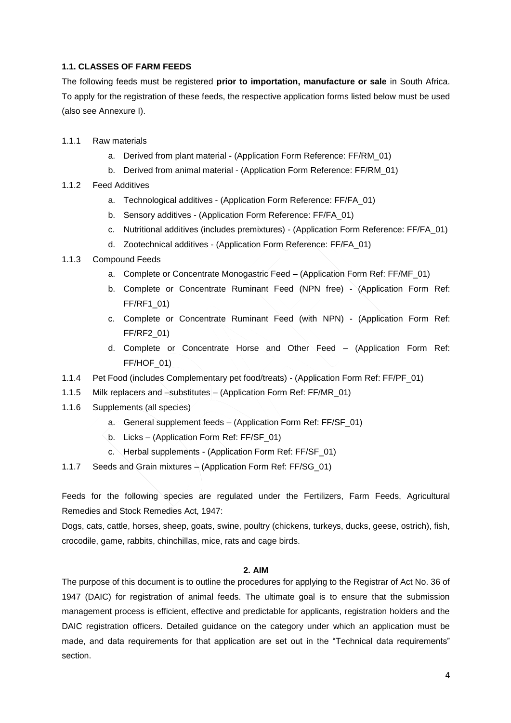## **1.1. CLASSES OF FARM FEEDS**

The following feeds must be registered **prior to importation, manufacture or sale** in South Africa. To apply for the registration of these feeds, the respective application forms listed below must be used (also see Annexure I).

- 1.1.1 Raw materials
	- a. Derived from plant material (Application Form Reference: FF/RM\_01)
	- b. Derived from animal material (Application Form Reference: FF/RM\_01)
- 1.1.2 Feed Additives
	- a. Technological additives (Application Form Reference: FF/FA\_01)
	- b. Sensory additives (Application Form Reference: FF/FA\_01)
	- c. Nutritional additives (includes premixtures) (Application Form Reference: FF/FA\_01)
	- d. Zootechnical additives (Application Form Reference: FF/FA\_01)
- 1.1.3 Compound Feeds
	- a. Complete or Concentrate Monogastric Feed (Application Form Ref: FF/MF\_01)
	- b. Complete or Concentrate Ruminant Feed (NPN free) (Application Form Ref: FF/RF1\_01)
	- c. Complete or Concentrate Ruminant Feed (with NPN) (Application Form Ref: FF/RF2\_01)
	- d. Complete or Concentrate Horse and Other Feed (Application Form Ref: FF/HOF\_01)
- 1.1.4 Pet Food (includes Complementary pet food/treats) (Application Form Ref: FF/PF\_01)
- 1.1.5 Milk replacers and –substitutes (Application Form Ref: FF/MR\_01)
- 1.1.6 Supplements (all species)
	- a. General supplement feeds (Application Form Ref: FF/SF\_01)
	- b. Licks (Application Form Ref: FF/SF\_01)
	- c. Herbal supplements (Application Form Ref: FF/SF\_01)
- 1.1.7 Seeds and Grain mixtures  $\frac{1}{2}$  (Application Form Ref: FF/SG 01)

Feeds for the following species are regulated under the Fertilizers, Farm Feeds, Agricultural Remedies and Stock Remedies Act, 1947:

Dogs, cats, cattle, horses, sheep, goats, swine, poultry (chickens, turkeys, ducks, geese, ostrich), fish, crocodile, game, rabbits, chinchillas, mice, rats and cage birds.

## **2. AIM**

<span id="page-3-0"></span>The purpose of this document is to outline the procedures for applying to the Registrar of Act No. 36 of 1947 (DAIC) for registration of animal feeds. The ultimate goal is to ensure that the submission management process is efficient, effective and predictable for applicants, registration holders and the DAIC registration officers. Detailed guidance on the category under which an application must be made, and data requirements for that application are set out in the "Technical data requirements" section.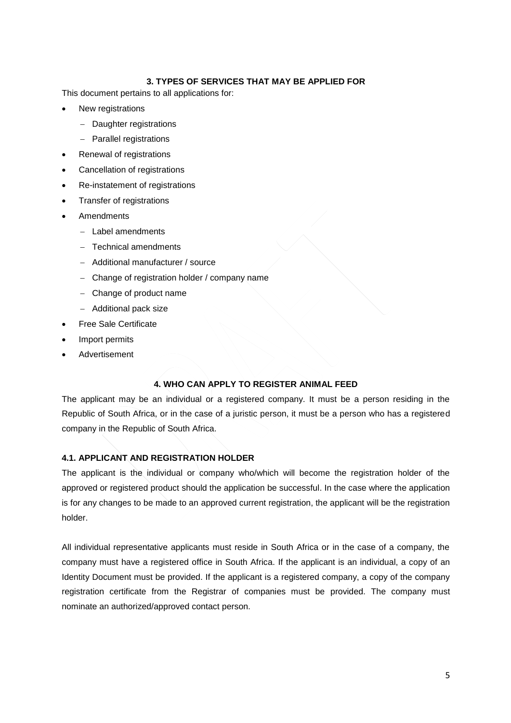## **3. TYPES OF SERVICES THAT MAY BE APPLIED FOR**

<span id="page-4-0"></span>This document pertains to all applications for:

- New registrations
	- Daughter registrations
	- Parallel registrations
- Renewal of registrations
- Cancellation of registrations
- Re-instatement of registrations
- Transfer of registrations
- Amendments
	- Label amendments
	- Technical amendments
	- Additional manufacturer / source
	- Change of registration holder / company name
	- Change of product name
	- Additional pack size
- Free Sale Certificate
- Import permits
- Advertisement

#### **4. WHO CAN APPLY TO REGISTER ANIMAL FEED**

<span id="page-4-1"></span>The applicant may be an individual or a registered company. It must be a person residing in the Republic of South Africa, or in the case of a juristic person, it must be a person who has a registered company in the Republic of South Africa.

#### **4.1. APPLICANT AND REGISTRATION HOLDER**

The applicant is the individual or company who/which will become the registration holder of the approved or registered product should the application be successful. In the case where the application is for any changes to be made to an approved current registration, the applicant will be the registration holder.

All individual representative applicants must reside in South Africa or in the case of a company, the company must have a registered office in South Africa. If the applicant is an individual, a copy of an Identity Document must be provided. If the applicant is a registered company, a copy of the company registration certificate from the Registrar of companies must be provided. The company must nominate an authorized/approved contact person.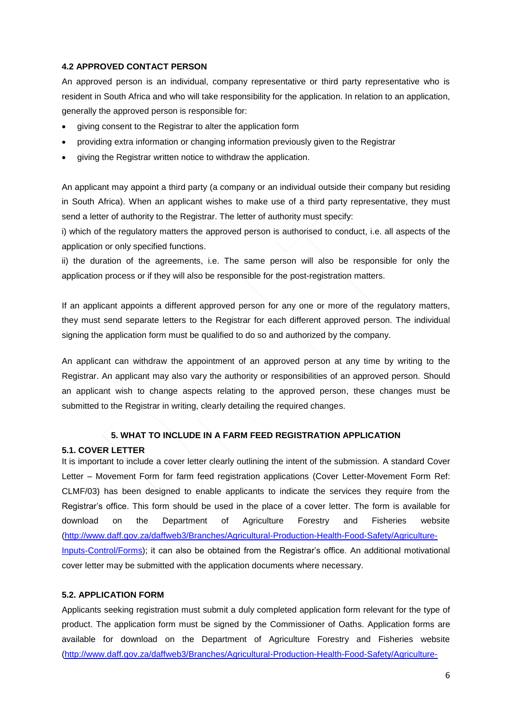## **4.2 APPROVED CONTACT PERSON**

An approved person is an individual, company representative or third party representative who is resident in South Africa and who will take responsibility for the application. In relation to an application, generally the approved person is responsible for:

- giving consent to the Registrar to alter the application form
- providing extra information or changing information previously given to the Registrar
- giving the Registrar written notice to withdraw the application.

An applicant may appoint a third party (a company or an individual outside their company but residing in South Africa). When an applicant wishes to make use of a third party representative, they must send a letter of authority to the Registrar. The letter of authority must specify:

i) which of the regulatory matters the approved person is authorised to conduct, i.e. all aspects of the application or only specified functions.

ii) the duration of the agreements, i.e. The same person will also be responsible for only the application process or if they will also be responsible for the post-registration matters.

If an applicant appoints a different approved person for any one or more of the regulatory matters, they must send separate letters to the Registrar for each different approved person. The individual signing the application form must be qualified to do so and authorized by the company.

An applicant can withdraw the appointment of an approved person at any time by writing to the Registrar. An applicant may also vary the authority or responsibilities of an approved person. Should an applicant wish to change aspects relating to the approved person, these changes must be submitted to the Registrar in writing, clearly detailing the required changes.

## **5. WHAT TO INCLUDE IN A FARM FEED REGISTRATION APPLICATION**

## <span id="page-5-0"></span>**5.1. COVER LETTER**

It is important to include a cover letter clearly outlining the intent of the submission. A standard Cover Letter – Movement Form for farm feed registration applications (Cover Letter-Movement Form Ref: CLMF/03) has been designed to enable applicants to indicate the services they require from the Registrar's office. This form should be used in the place of a cover letter. The form is available for download on the Department of Agriculture Forestry and Fisheries website [\(http://www.daff.gov.za/daffweb3/Branches/Agricultural-Production-Health-Food-Safety/Agriculture-](http://www.daff.gov.za/daffweb3/Branches/Agricultural-Production-Health-Food-Safety/Agriculture-Inputs-Control/Forms)[Inputs-Control/Forms\)](http://www.daff.gov.za/daffweb3/Branches/Agricultural-Production-Health-Food-Safety/Agriculture-Inputs-Control/Forms); it can also be obtained from the Registrar's office. An additional motivational cover letter may be submitted with the application documents where necessary.

## **5.2. APPLICATION FORM**

Applicants seeking registration must submit a duly completed application form relevant for the type of product. The application form must be signed by the Commissioner of Oaths. Application forms are available for download on the Department of Agriculture Forestry and Fisheries website [\(http://www.daff.gov.za/daffweb3/Branches/Agricultural-Production-Health-Food-Safety/Agriculture-](http://www.daff.gov.za/daffweb3/Branches/Agricultural-Production-Health-Food-Safety/Agriculture-Inputs-Control/Forms)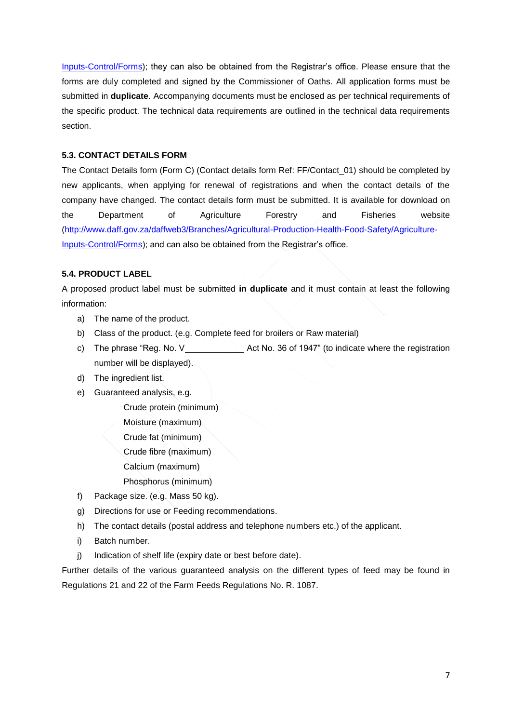[Inputs-Control/Forms\)](http://www.daff.gov.za/daffweb3/Branches/Agricultural-Production-Health-Food-Safety/Agriculture-Inputs-Control/Forms); they can also be obtained from the Registrar's office. Please ensure that the forms are duly completed and signed by the Commissioner of Oaths. All application forms must be submitted in **duplicate**. Accompanying documents must be enclosed as per technical requirements of the specific product. The technical data requirements are outlined in the technical data requirements section.

## **5.3. CONTACT DETAILS FORM**

The Contact Details form (Form C) (Contact details form Ref: FF/Contact\_01) should be completed by new applicants, when applying for renewal of registrations and when the contact details of the company have changed. The contact details form must be submitted. It is available for download on the Department of Agriculture Forestry and Fisheries website [\(http://www.daff.gov.za/daffweb3/Branches/Agricultural-Production-Health-Food-Safety/Agriculture-](http://www.daff.gov.za/daffweb3/Branches/Agricultural-Production-Health-Food-Safety/Agriculture-Inputs-Control/Forms)[Inputs-Control/Forms\)](http://www.daff.gov.za/daffweb3/Branches/Agricultural-Production-Health-Food-Safety/Agriculture-Inputs-Control/Forms); and can also be obtained from the Registrar's office.

## **5.4. PRODUCT LABEL**

A proposed product label must be submitted **in duplicate** and it must contain at least the following information:

- a) The name of the product.
- b) Class of the product. (e.g. Complete feed for broilers or Raw material)
- c) The phrase "Reg. No.  $V_$  Act No. 36 of 1947" (to indicate where the registration number will be displayed).
- d) The ingredient list.
- e) Guaranteed analysis, e.g.

Crude protein (minimum)

Moisture (maximum)

Crude fat (minimum)

Crude fibre (maximum)

Calcium (maximum)

Phosphorus (minimum)

- f) Package size. (e.g. Mass 50 kg).
- g) Directions for use or Feeding recommendations.
- h) The contact details (postal address and telephone numbers etc.) of the applicant.
- i) Batch number.
- j) Indication of shelf life (expiry date or best before date).

Further details of the various guaranteed analysis on the different types of feed may be found in Regulations 21 and 22 of the Farm Feeds Regulations No. R. 1087.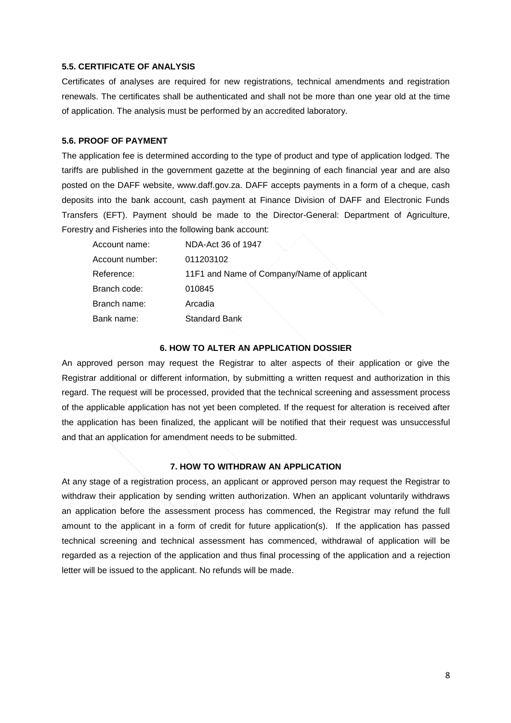## **5.5. CERTIFICATE OF ANALYSIS**

Certificates of analyses are required for new registrations, technical amendments and registration renewals. The certificates shall be authenticated and shall not be more than one year old at the time of application. The analysis must be performed by an accredited laboratory.

## **5.6. PROOF OF PAYMENT**

The application fee is determined according to the type of product and type of application lodged. The tariffs are published in the government gazette at the beginning of each financial year and are also posted on the DAFF website, www.daff.gov.za. DAFF accepts payments in a form of a cheque, cash deposits into the bank account, cash payment at Finance Division of DAFF and Electronic Funds Transfers (EFT). Payment should be made to the Director-General: Department of Agriculture, Forestry and Fisheries into the following bank account:

| Account name:   | NDA-Act 36 of 1947                         |
|-----------------|--------------------------------------------|
| Account number: | 011203102                                  |
| Reference:      | 11F1 and Name of Company/Name of applicant |
| Branch code:    | 010845                                     |
| Branch name:    | Arcadia                                    |
| Bank name:      | <b>Standard Bank</b>                       |

#### **6. HOW TO ALTER AN APPLICATION DOSSIER**

An approved person may request the Registrar to alter aspects of their application or give the Registrar additional or different information, by submitting a written request and authorization in this regard. The request will be processed, provided that the technical screening and assessment process of the applicable application has not yet been completed. If the request for alteration is received after the application has been finalized, the applicant will be notified that their request was unsuccessful and that an application for amendment needs to be submitted.

#### **7. HOW TO WITHDRAW AN APPLICATION**

At any stage of a registration process, an applicant or approved person may request the Registrar to withdraw their application by sending written authorization. When an applicant voluntarily withdraws an application before the assessment process has commenced, the Registrar may refund the full amount to the applicant in a form of credit for future application(s). If the application has passed technical screening and technical assessment has commenced, withdrawal of application will be regarded as a rejection of the application and thus final processing of the application and a rejection letter will be issued to the applicant. No refunds will be made.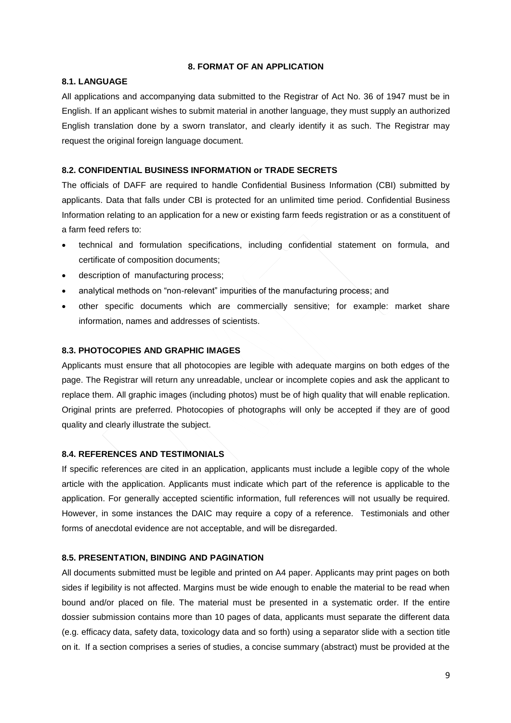#### **8. FORMAT OF AN APPLICATION**

#### **8.1. LANGUAGE**

All applications and accompanying data submitted to the Registrar of Act No. 36 of 1947 must be in English. If an applicant wishes to submit material in another language, they must supply an authorized English translation done by a sworn translator, and clearly identify it as such. The Registrar may request the original foreign language document.

#### **8.2. CONFIDENTIAL BUSINESS INFORMATION or TRADE SECRETS**

The officials of DAFF are required to handle Confidential Business Information (CBI) submitted by applicants. Data that falls under CBI is protected for an unlimited time period. Confidential Business Information relating to an application for a new or existing farm feeds registration or as a constituent of a farm feed refers to:

- technical and formulation specifications, including confidential statement on formula, and certificate of composition documents;
- description of manufacturing process;
- analytical methods on "non-relevant" impurities of the manufacturing process; and
- other specific documents which are commercially sensitive; for example: market share information, names and addresses of scientists.

## **8.3. PHOTOCOPIES AND GRAPHIC IMAGES**

Applicants must ensure that all photocopies are legible with adequate margins on both edges of the page. The Registrar will return any unreadable, unclear or incomplete copies and ask the applicant to replace them. All graphic images (including photos) must be of high quality that will enable replication. Original prints are preferred. Photocopies of photographs will only be accepted if they are of good quality and clearly illustrate the subject.

## **8.4. REFERENCES AND TESTIMONIALS**

If specific references are cited in an application, applicants must include a legible copy of the whole article with the application. Applicants must indicate which part of the reference is applicable to the application. For generally accepted scientific information, full references will not usually be required. However, in some instances the DAIC may require a copy of a reference. Testimonials and other forms of anecdotal evidence are not acceptable, and will be disregarded.

#### **8.5. PRESENTATION, BINDING AND PAGINATION**

All documents submitted must be legible and printed on A4 paper. Applicants may print pages on both sides if legibility is not affected. Margins must be wide enough to enable the material to be read when bound and/or placed on file. The material must be presented in a systematic order. If the entire dossier submission contains more than 10 pages of data, applicants must separate the different data (e.g. efficacy data, safety data, toxicology data and so forth) using a separator slide with a section title on it. If a section comprises a series of studies, a concise summary (abstract) must be provided at the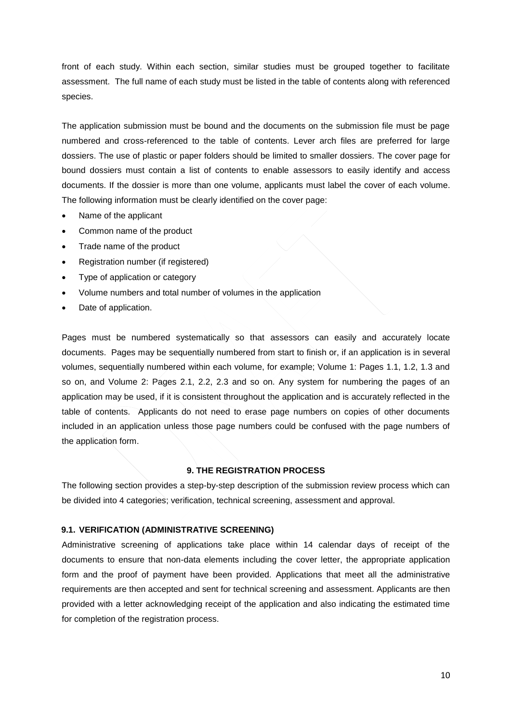front of each study. Within each section, similar studies must be grouped together to facilitate assessment. The full name of each study must be listed in the table of contents along with referenced species.

The application submission must be bound and the documents on the submission file must be page numbered and cross-referenced to the table of contents. Lever arch files are preferred for large dossiers. The use of plastic or paper folders should be limited to smaller dossiers. The cover page for bound dossiers must contain a list of contents to enable assessors to easily identify and access documents. If the dossier is more than one volume, applicants must label the cover of each volume. The following information must be clearly identified on the cover page:

- Name of the applicant
- Common name of the product
- Trade name of the product
- Registration number (if registered)
- Type of application or category
- Volume numbers and total number of volumes in the application
- Date of application.

Pages must be numbered systematically so that assessors can easily and accurately locate documents. Pages may be sequentially numbered from start to finish or, if an application is in several volumes, sequentially numbered within each volume, for example; Volume 1: Pages 1.1, 1.2, 1.3 and so on, and Volume 2: Pages 2.1, 2.2, 2.3 and so on. Any system for numbering the pages of an application may be used, if it is consistent throughout the application and is accurately reflected in the table of contents. Applicants do not need to erase page numbers on copies of other documents included in an application unless those page numbers could be confused with the page numbers of the application form.

#### **9. THE REGISTRATION PROCESS**

The following section provides a step-by-step description of the submission review process which can be divided into 4 categories; verification, technical screening, assessment and approval.

#### **9.1. VERIFICATION (ADMINISTRATIVE SCREENING)**

Administrative screening of applications take place within 14 calendar days of receipt of the documents to ensure that non-data elements including the cover letter, the appropriate application form and the proof of payment have been provided. Applications that meet all the administrative requirements are then accepted and sent for technical screening and assessment. Applicants are then provided with a letter acknowledging receipt of the application and also indicating the estimated time for completion of the registration process.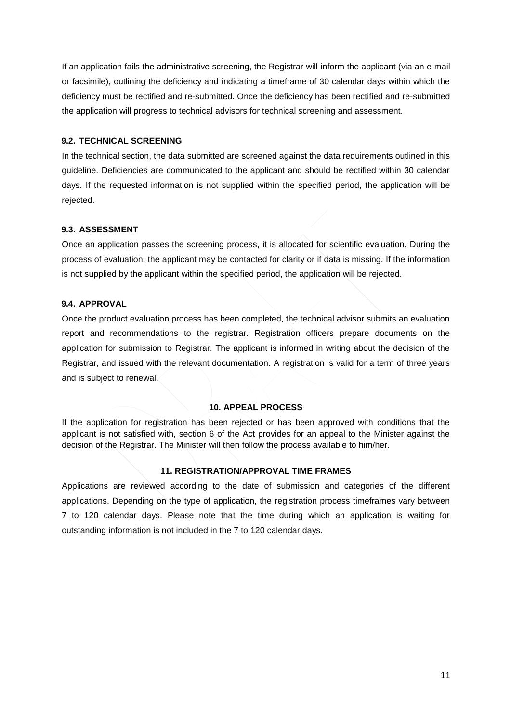If an application fails the administrative screening, the Registrar will inform the applicant (via an e-mail or facsimile), outlining the deficiency and indicating a timeframe of 30 calendar days within which the deficiency must be rectified and re-submitted. Once the deficiency has been rectified and re-submitted the application will progress to technical advisors for technical screening and assessment.

## **9.2. TECHNICAL SCREENING**

In the technical section, the data submitted are screened against the data requirements outlined in this guideline. Deficiencies are communicated to the applicant and should be rectified within 30 calendar days. If the requested information is not supplied within the specified period, the application will be rejected.

## **9.3. ASSESSMENT**

Once an application passes the screening process, it is allocated for scientific evaluation. During the process of evaluation, the applicant may be contacted for clarity or if data is missing. If the information is not supplied by the applicant within the specified period, the application will be rejected.

## **9.4. APPROVAL**

Once the product evaluation process has been completed, the technical advisor submits an evaluation report and recommendations to the registrar. Registration officers prepare documents on the application for submission to Registrar. The applicant is informed in writing about the decision of the Registrar, and issued with the relevant documentation. A registration is valid for a term of three years and is subject to renewal.

## **10. APPEAL PROCESS**

If the application for registration has been rejected or has been approved with conditions that the applicant is not satisfied with, section 6 of the Act provides for an appeal to the Minister against the decision of the Registrar. The Minister will then follow the process available to him/her.

## **11. REGISTRATION/APPROVAL TIME FRAMES**

Applications are reviewed according to the date of submission and categories of the different applications. Depending on the type of application, the registration process timeframes vary between 7 to 120 calendar days. Please note that the time during which an application is waiting for outstanding information is not included in the 7 to 120 calendar days.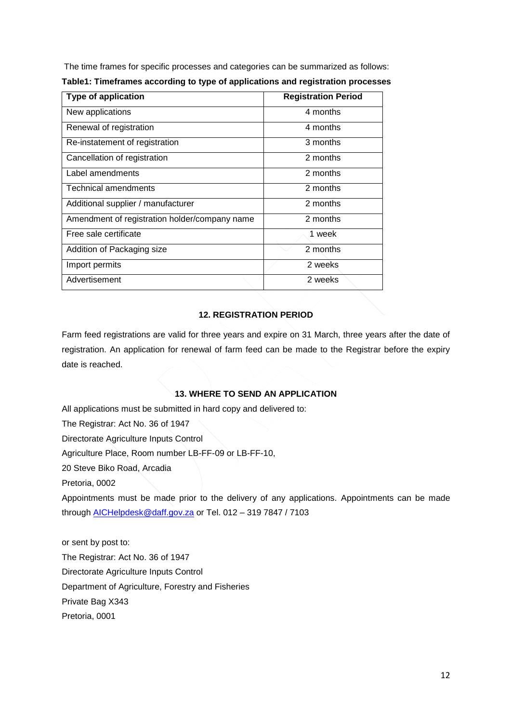The time frames for specific processes and categories can be summarized as follows:

| <b>Type of application</b>                    | <b>Registration Period</b> |
|-----------------------------------------------|----------------------------|
| New applications                              | 4 months                   |
| Renewal of registration                       | 4 months                   |
| Re-instatement of registration                | 3 months                   |
| Cancellation of registration                  | 2 months                   |
| Label amendments                              | 2 months                   |
| <b>Technical amendments</b>                   | 2 months                   |
| Additional supplier / manufacturer            | 2 months                   |
| Amendment of registration holder/company name | 2 months                   |
| Free sale certificate                         | 1 week                     |
| Addition of Packaging size                    | 2 months                   |
| Import permits                                | 2 weeks                    |
| Advertisement                                 | 2 weeks                    |

**Table1: Timeframes according to type of applications and registration processes**

## **12. REGISTRATION PERIOD**

Farm feed registrations are valid for three years and expire on 31 March, three years after the date of registration. An application for renewal of farm feed can be made to the Registrar before the expiry date is reached.

## **13. WHERE TO SEND AN APPLICATION**

All applications must be submitted in hard copy and delivered to:

The Registrar: Act No. 36 of 1947

Directorate Agriculture Inputs Control

Agriculture Place, Room number LB-FF-09 or LB-FF-10,

20 Steve Biko Road, Arcadia

Pretoria, 0002

Appointments must be made prior to the delivery of any applications. Appointments can be made through [AICHelpdesk@daff.gov.za](mailto:AICHelpdesk@daff.gov.za) or Tel. 012 – 319 7847 / 7103

or sent by post to: The Registrar: Act No. 36 of 1947 Directorate Agriculture Inputs Control Department of Agriculture, Forestry and Fisheries Private Bag X343 Pretoria, 0001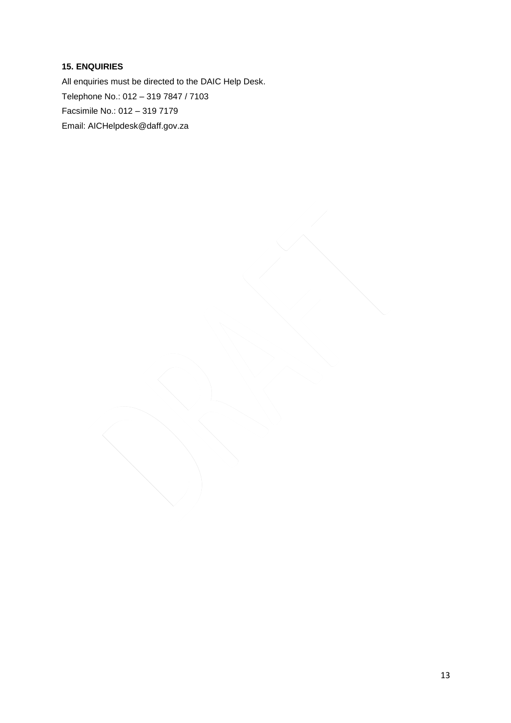## **15. ENQUIRIES**

All enquiries must be directed to the DAIC Help Desk. Telephone No.: 012 – 319 7847 / 7103 Facsimile No.: 012 – 319 7179 Email: AICHelpdesk@daff.gov.za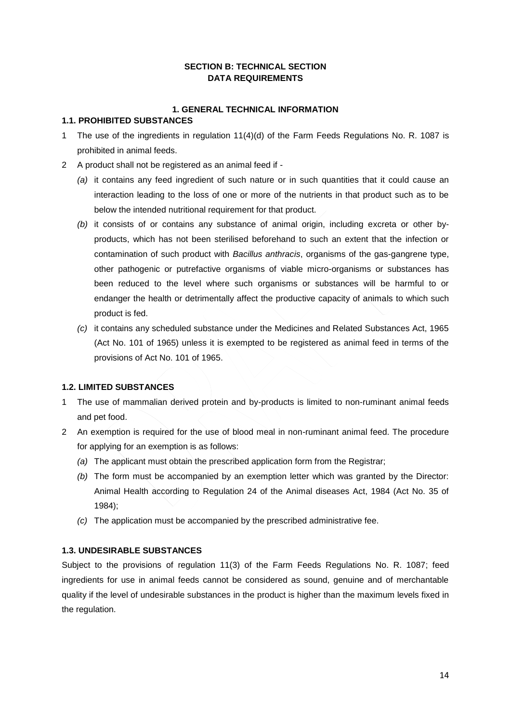## **SECTION B: TECHNICAL SECTION DATA REQUIREMENTS**

## **1. GENERAL TECHNICAL INFORMATION**

## <span id="page-13-2"></span><span id="page-13-1"></span><span id="page-13-0"></span>**1.1. PROHIBITED SUBSTANCES**

- 1 The use of the ingredients in regulation 11(4)(d) of the Farm Feeds Regulations No. R. 1087 is prohibited in animal feeds.
- 2 A product shall not be registered as an animal feed if
	- *(a)* it contains any feed ingredient of such nature or in such quantities that it could cause an interaction leading to the loss of one or more of the nutrients in that product such as to be below the intended nutritional requirement for that product.
	- *(b)* it consists of or contains any substance of animal origin, including excreta or other byproducts, which has not been sterilised beforehand to such an extent that the infection or contamination of such product with *Bacillus anthracis*, organisms of the gas-gangrene type, other pathogenic or putrefactive organisms of viable micro-organisms or substances has been reduced to the level where such organisms or substances will be harmful to or endanger the health or detrimentally affect the productive capacity of animals to which such product is fed.
	- *(c)* it contains any scheduled substance under the Medicines and Related Substances Act, 1965 (Act No. 101 of 1965) unless it is exempted to be registered as animal feed in terms of the provisions of Act No. 101 of 1965.

## **1.2. LIMITED SUBSTANCES**

- 1 The use of mammalian derived protein and by-products is limited to non-ruminant animal feeds and pet food.
- 2 An exemption is required for the use of blood meal in non-ruminant animal feed. The procedure for applying for an exemption is as follows:
	- *(a)* The applicant must obtain the prescribed application form from the Registrar;
	- *(b)* The form must be accompanied by an exemption letter which was granted by the Director: Animal Health according to Regulation 24 of the Animal diseases Act, 1984 (Act No. 35 of 1984);
	- *(c)* The application must be accompanied by the prescribed administrative fee.

## **1.3. UNDESIRABLE SUBSTANCES**

Subject to the provisions of regulation 11(3) of the Farm Feeds Regulations No. R. 1087; feed ingredients for use in animal feeds cannot be considered as sound, genuine and of merchantable quality if the level of undesirable substances in the product is higher than the maximum levels fixed in the regulation.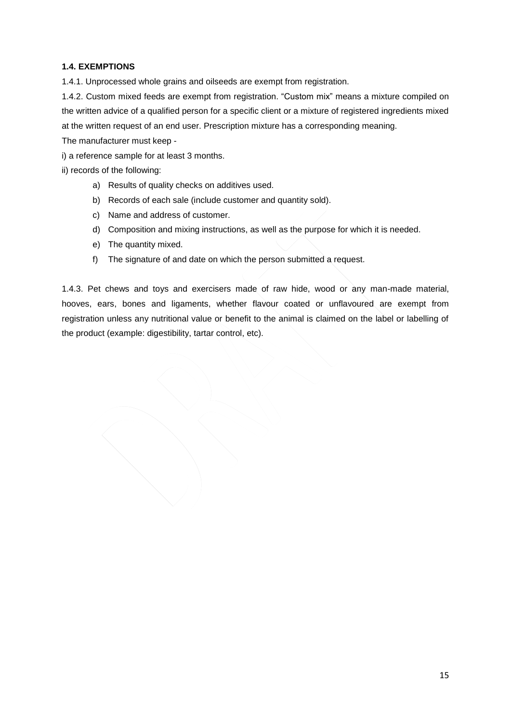## **1.4. EXEMPTIONS**

1.4.1. Unprocessed whole grains and oilseeds are exempt from registration.

1.4.2. Custom mixed feeds are exempt from registration. "Custom mix" means a mixture compiled on the written advice of a qualified person for a specific client or a mixture of registered ingredients mixed at the written request of an end user. Prescription mixture has a corresponding meaning.

The manufacturer must keep -

i) a reference sample for at least 3 months.

ii) records of the following:

- a) Results of quality checks on additives used.
- b) Records of each sale (include customer and quantity sold).
- c) Name and address of customer.
- d) Composition and mixing instructions, as well as the purpose for which it is needed.
- e) The quantity mixed.
- f) The signature of and date on which the person submitted a request.

1.4.3. Pet chews and toys and exercisers made of raw hide, wood or any man-made material, hooves, ears, bones and ligaments, whether flavour coated or unflavoured are exempt from registration unless any nutritional value or benefit to the animal is claimed on the label or labelling of the product (example: digestibility, tartar control, etc).

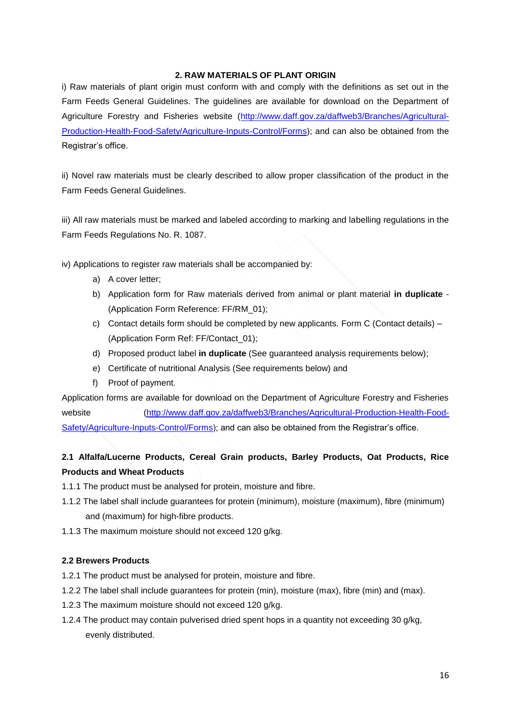## **2. RAW MATERIALS OF PLANT ORIGIN**

<span id="page-15-0"></span>i) Raw materials of plant origin must conform with and comply with the definitions as set out in the Farm Feeds General Guidelines. The guidelines are available for download on the Department of Agriculture Forestry and Fisheries website [\(http://www.daff.gov.za/daffweb3/Branches/Agricultural-](http://www.daff.gov.za/daffweb3/Branches/Agricultural-Production-Health-Food-Safety/Agriculture-Inputs-Control/Forms)[Production-Health-Food-Safety/Agriculture-Inputs-Control/Forms\)](http://www.daff.gov.za/daffweb3/Branches/Agricultural-Production-Health-Food-Safety/Agriculture-Inputs-Control/Forms); and can also be obtained from the Registrar's office.

ii) Novel raw materials must be clearly described to allow proper classification of the product in the Farm Feeds General Guidelines.

iii) All raw materials must be marked and labeled according to marking and labelling regulations in the Farm Feeds Regulations No. R. 1087.

iv) Applications to register raw materials shall be accompanied by:

- a) A cover letter;
- b) Application form for Raw materials derived from animal or plant material **in duplicate** (Application Form Reference: FF/RM\_01);
- c) Contact details form should be completed by new applicants. Form C (Contact details) (Application Form Ref: FF/Contact\_01);
- d) Proposed product label **in duplicate** (See guaranteed analysis requirements below);
- e) Certificate of nutritional Analysis (See requirements below) and
- f) Proof of payment.

Application forms are available for download on the Department of Agriculture Forestry and Fisheries website [\(http://www.daff.gov.za/daffweb3/Branches/Agricultural-Production-Health-Food-](http://www.daff.gov.za/daffweb3/Branches/Agricultural-Production-Health-Food-Safety/Agriculture-Inputs-Control/Forms)[Safety/Agriculture-Inputs-Control/Forms\)](http://www.daff.gov.za/daffweb3/Branches/Agricultural-Production-Health-Food-Safety/Agriculture-Inputs-Control/Forms); and can also be obtained from the Registrar's office.

## **2.1 Alfalfa/Lucerne Products, Cereal Grain products, Barley Products, Oat Products, Rice Products and Wheat Products**

- 1.1.1 The product must be analysed for protein, moisture and fibre.
- 1.1.2 The label shall include guarantees for protein (minimum), moisture (maximum), fibre (minimum) and (maximum) for high-fibre products.
- 1.1.3 The maximum moisture should not exceed 120 g/kg.

#### **2.2 Brewers Products**

1.2.1 The product must be analysed for protein, moisture and fibre.

- 1.2.2 The label shall include guarantees for protein (min), moisture (max), fibre (min) and (max).
- 1.2.3 The maximum moisture should not exceed 120 g/kg.
- 1.2.4 The product may contain pulverised dried spent hops in a quantity not exceeding 30 g/kg, evenly distributed.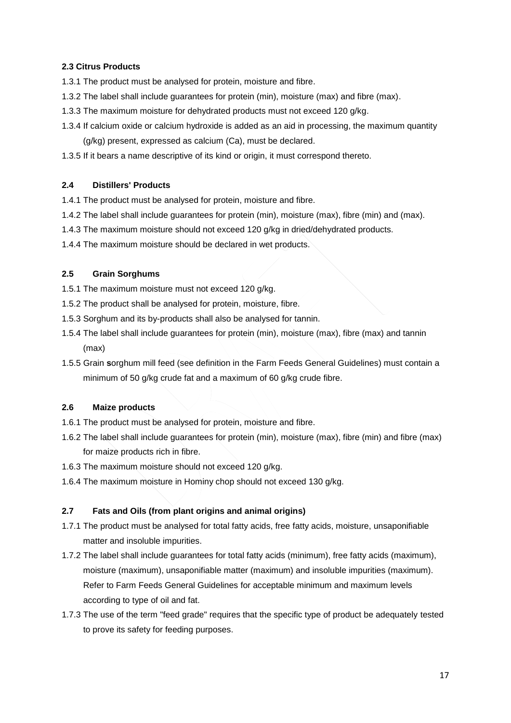## **2.3 Citrus Products**

- 1.3.1 The product must be analysed for protein, moisture and fibre.
- 1.3.2 The label shall include guarantees for protein (min), moisture (max) and fibre (max).
- 1.3.3 The maximum moisture for dehydrated products must not exceed 120 g/kg.
- 1.3.4 If calcium oxide or calcium hydroxide is added as an aid in processing, the maximum quantity (g/kg) present, expressed as calcium (Ca), must be declared.
- 1.3.5 If it bears a name descriptive of its kind or origin, it must correspond thereto.

## **2.4 Distillers' Products**

- 1.4.1 The product must be analysed for protein, moisture and fibre.
- 1.4.2 The label shall include guarantees for protein (min), moisture (max), fibre (min) and (max).
- 1.4.3 The maximum moisture should not exceed 120 g/kg in dried/dehydrated products.
- 1.4.4 The maximum moisture should be declared in wet products.

## **2.5 Grain Sorghums**

- 1.5.1 The maximum moisture must not exceed 120 g/kg.
- 1.5.2 The product shall be analysed for protein, moisture, fibre.
- 1.5.3 Sorghum and its by-products shall also be analysed for tannin.
- 1.5.4 The label shall include guarantees for protein (min), moisture (max), fibre (max) and tannin (max)
- 1.5.5 Grain **s**orghum mill feed (see definition in the Farm Feeds General Guidelines) must contain a minimum of 50 g/kg crude fat and a maximum of 60 g/kg crude fibre.

#### **2.6 Maize products**

- 1.6.1 The product must be analysed for protein, moisture and fibre.
- 1.6.2 The label shall include guarantees for protein (min), moisture (max), fibre (min) and fibre (max) for maize products rich in fibre.
- 1.6.3 The maximum moisture should not exceed 120 g/kg.
- 1.6.4 The maximum moisture in Hominy chop should not exceed 130 g/kg.

## **2.7 Fats and Oils (from plant origins and animal origins)**

- 1.7.1 The product must be analysed for total fatty acids, free fatty acids, moisture, unsaponifiable matter and insoluble impurities.
- 1.7.2 The label shall include guarantees for total fatty acids (minimum), free fatty acids (maximum), moisture (maximum), unsaponifiable matter (maximum) and insoluble impurities (maximum). Refer to Farm Feeds General Guidelines for acceptable minimum and maximum levels according to type of oil and fat.
- 1.7.3 The use of the term "feed grade" requires that the specific type of product be adequately tested to prove its safety for feeding purposes.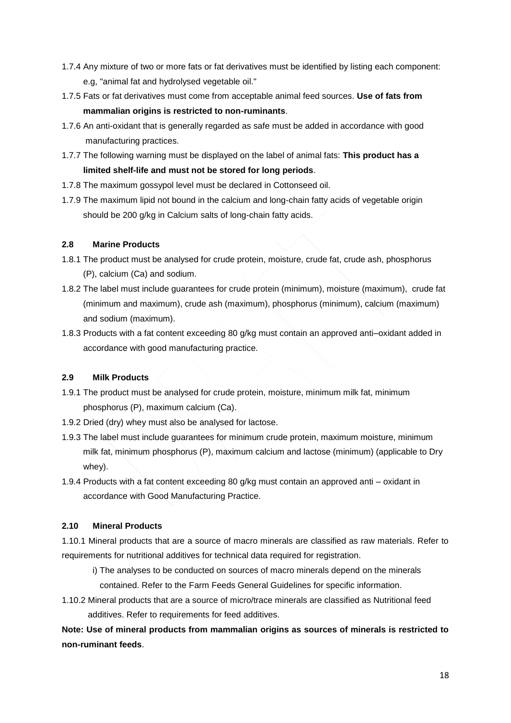- 1.7.4 Any mixture of two or more fats or fat derivatives must be identified by listing each component: e.g, "animal fat and hydrolysed vegetable oil."
- 1.7.5 Fats or fat derivatives must come from acceptable animal feed sources. **Use of fats from mammalian origins is restricted to non-ruminants**.
- 1.7.6 An anti-oxidant that is generally regarded as safe must be added in accordance with good manufacturing practices.
- 1.7.7 The following warning must be displayed on the label of animal fats: **This product has a limited shelf-life and must not be stored for long periods**.
- 1.7.8 The maximum gossypol level must be declared in Cottonseed oil.
- 1.7.9 The maximum lipid not bound in the calcium and long-chain fatty acids of vegetable origin should be 200 g/kg in Calcium salts of long-chain fatty acids.

## **2.8 Marine Products**

- 1.8.1 The product must be analysed for crude protein, moisture, crude fat, crude ash, phosphorus (P), calcium (Ca) and sodium.
- 1.8.2 The label must include guarantees for crude protein (minimum), moisture (maximum), crude fat (minimum and maximum), crude ash (maximum), phosphorus (minimum), calcium (maximum) and sodium (maximum).
- 1.8.3 Products with a fat content exceeding 80 g/kg must contain an approved anti–oxidant added in accordance with good manufacturing practice.

## **2.9 Milk Products**

- 1.9.1 The product must be analysed for crude protein, moisture, minimum milk fat, minimum phosphorus (P), maximum calcium (Ca).
- 1.9.2 Dried (dry) whey must also be analysed for lactose.
- 1.9.3 The label must include guarantees for minimum crude protein, maximum moisture, minimum milk fat, minimum phosphorus (P), maximum calcium and lactose (minimum) (applicable to Dry whey).
- 1.9.4 Products with a fat content exceeding 80 g/kg must contain an approved anti oxidant in accordance with Good Manufacturing Practice.

## **2.10 Mineral Products**

1.10.1 Mineral products that are a source of macro minerals are classified as raw materials. Refer to requirements for nutritional additives for technical data required for registration.

- i) The analyses to be conducted on sources of macro minerals depend on the minerals
- contained. Refer to the Farm Feeds General Guidelines for specific information.
- 1.10.2 Mineral products that are a source of micro/trace minerals are classified as Nutritional feed additives. Refer to requirements for feed additives.

**Note: Use of mineral products from mammalian origins as sources of minerals is restricted to non-ruminant feeds**.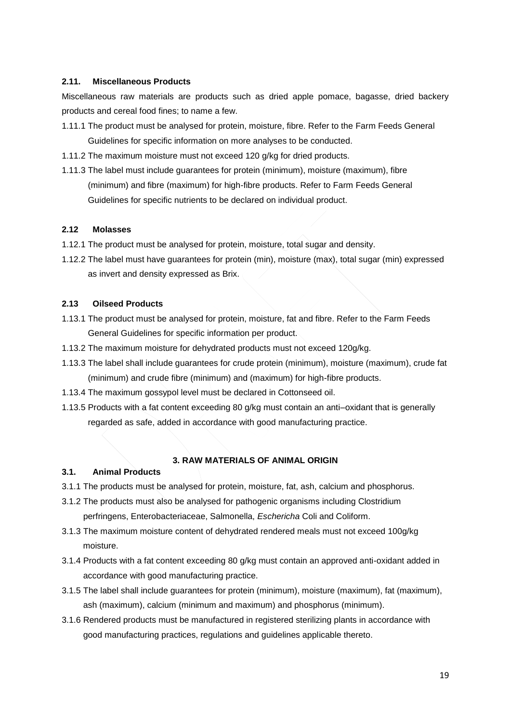## **2.11. Miscellaneous Products**

Miscellaneous raw materials are products such as dried apple pomace, bagasse, dried backery products and cereal food fines; to name a few.

- 1.11.1 The product must be analysed for protein, moisture, fibre. Refer to the Farm Feeds General Guidelines for specific information on more analyses to be conducted.
- 1.11.2 The maximum moisture must not exceed 120 g/kg for dried products.
- 1.11.3 The label must include guarantees for protein (minimum), moisture (maximum), fibre (minimum) and fibre (maximum) for high-fibre products. Refer to Farm Feeds General Guidelines for specific nutrients to be declared on individual product.

#### **2.12 Molasses**

- 1.12.1 The product must be analysed for protein, moisture, total sugar and density.
- 1.12.2 The label must have guarantees for protein (min), moisture (max), total sugar (min) expressed as invert and density expressed as Brix.

#### **2.13 Oilseed Products**

- 1.13.1 The product must be analysed for protein, moisture, fat and fibre. Refer to the Farm Feeds General Guidelines for specific information per product.
- 1.13.2 The maximum moisture for dehydrated products must not exceed 120g/kg.
- 1.13.3 The label shall include guarantees for crude protein (minimum), moisture (maximum), crude fat (minimum) and crude fibre (minimum) and (maximum) for high-fibre products.
- 1.13.4 The maximum gossypol level must be declared in Cottonseed oil.
- 1.13.5 Products with a fat content exceeding 80 g/kg must contain an anti–oxidant that is generally regarded as safe, added in accordance with good manufacturing practice.

#### **3. RAW MATERIALS OF ANIMAL ORIGIN**

#### <span id="page-18-0"></span>**3.1. Animal Products**

- 3.1.1 The products must be analysed for protein, moisture, fat, ash, calcium and phosphorus.
- 3.1.2 The products must also be analysed for pathogenic organisms including Clostridium perfringens, Enterobacteriaceae, Salmonella, *Eschericha* Coli and Coliform.
- 3.1.3 The maximum moisture content of dehydrated rendered meals must not exceed 100g/kg moisture.
- 3.1.4 Products with a fat content exceeding 80 g/kg must contain an approved anti-oxidant added in accordance with good manufacturing practice.
- 3.1.5 The label shall include guarantees for protein (minimum), moisture (maximum), fat (maximum), ash (maximum), calcium (minimum and maximum) and phosphorus (minimum).
- 3.1.6 Rendered products must be manufactured in registered sterilizing plants in accordance with good manufacturing practices, regulations and guidelines applicable thereto.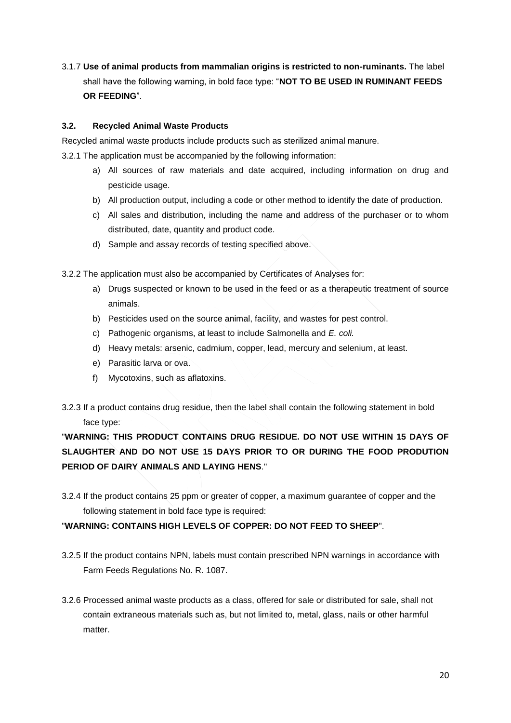3.1.7 **Use of animal products from mammalian origins is restricted to non-ruminants.** The label shall have the following warning, in bold face type: "**NOT TO BE USED IN RUMINANT FEEDS OR FEEDING**".

## **3.2. Recycled Animal Waste Products**

Recycled animal waste products include products such as sterilized animal manure.

3.2.1 The application must be accompanied by the following information:

- a) All sources of raw materials and date acquired, including information on drug and pesticide usage.
- b) All production output, including a code or other method to identify the date of production.
- c) All sales and distribution, including the name and address of the purchaser or to whom distributed, date, quantity and product code.
- d) Sample and assay records of testing specified above.

3.2.2 The application must also be accompanied by Certificates of Analyses for:

- a) Drugs suspected or known to be used in the feed or as a therapeutic treatment of source animals.
- b) Pesticides used on the source animal, facility, and wastes for pest control.
- c) Pathogenic organisms, at least to include Salmonella and *E. coli.*
- d) Heavy metals: arsenic, cadmium, copper, lead, mercury and selenium, at least.
- e) Parasitic larva or ova.
- f) Mycotoxins, such as aflatoxins.
- 3.2.3 If a product contains drug residue, then the label shall contain the following statement in bold face type:

"**WARNING: THIS PRODUCT CONTAINS DRUG RESIDUE. DO NOT USE WITHIN 15 DAYS OF SLAUGHTER AND DO NOT USE 15 DAYS PRIOR TO OR DURING THE FOOD PRODUTION PERIOD OF DAIRY ANIMALS AND LAYING HENS**."

3.2.4 If the product contains 25 ppm or greater of copper, a maximum guarantee of copper and the following statement in bold face type is required:

"**WARNING: CONTAINS HIGH LEVELS OF COPPER: DO NOT FEED TO SHEEP**".

- 3.2.5 If the product contains NPN, labels must contain prescribed NPN warnings in accordance with Farm Feeds Regulations No. R. 1087.
- 3.2.6 Processed animal waste products as a class, offered for sale or distributed for sale, shall not contain extraneous materials such as, but not limited to, metal, glass, nails or other harmful matter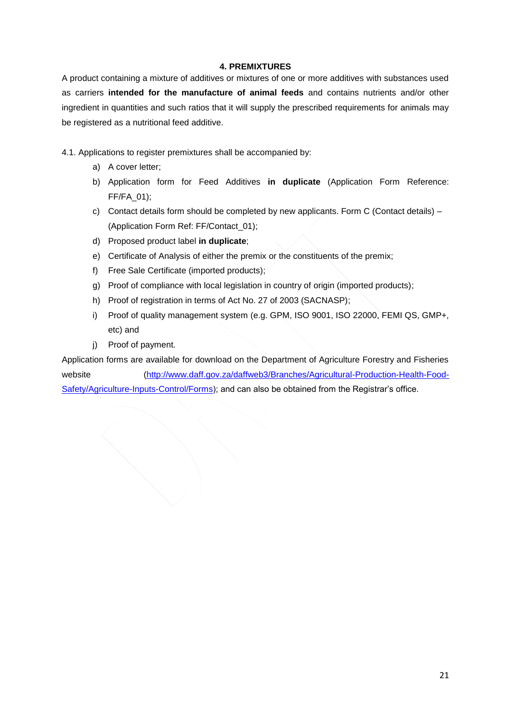## **4. PREMIXTURES**

<span id="page-20-0"></span>A product containing a mixture of additives or mixtures of one or more additives with substances used as carriers **intended for the manufacture of animal feeds** and contains nutrients and/or other ingredient in quantities and such ratios that it will supply the prescribed requirements for animals may be registered as a nutritional feed additive.

- 4.1. Applications to register premixtures shall be accompanied by:
	- a) A cover letter;
	- b) Application form for Feed Additives **in duplicate** (Application Form Reference: FF/FA\_01);
	- c) Contact details form should be completed by new applicants. Form C (Contact details) (Application Form Ref: FF/Contact\_01);
	- d) Proposed product label **in duplicate**;
	- e) Certificate of Analysis of either the premix or the constituents of the premix;
	- f) Free Sale Certificate (imported products);
	- g) Proof of compliance with local legislation in country of origin (imported products);
	- h) Proof of registration in terms of Act No. 27 of 2003 (SACNASP);
	- i) Proof of quality management system (e.g. GPM, ISO 9001, ISO 22000, FEMI QS, GMP+, etc) and
	- j) Proof of payment.

Application forms are available for download on the Department of Agriculture Forestry and Fisheries website [\(http://www.daff.gov.za/daffweb3/Branches/Agricultural-Production-Health-Food-](http://www.daff.gov.za/daffweb3/Branches/Agricultural-Production-Health-Food-Safety/Agriculture-Inputs-Control/Forms)[Safety/Agriculture-Inputs-Control/Forms\)](http://www.daff.gov.za/daffweb3/Branches/Agricultural-Production-Health-Food-Safety/Agriculture-Inputs-Control/Forms); and can also be obtained from the Registrar's office.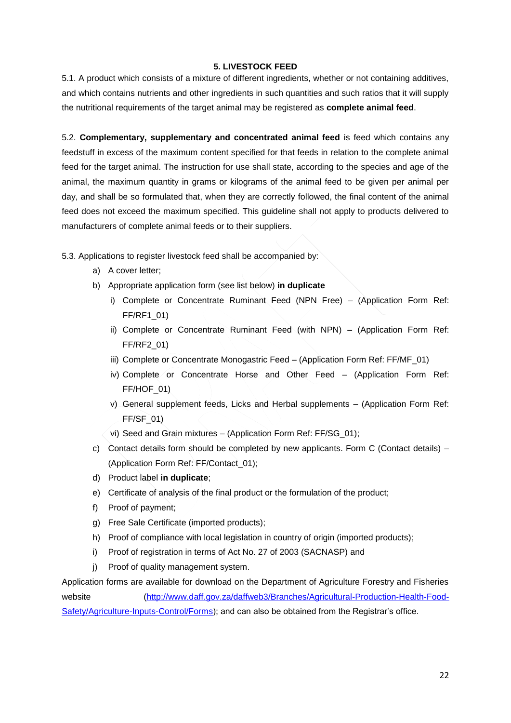## **5. LIVESTOCK FEED**

<span id="page-21-0"></span>5.1. A product which consists of a mixture of different ingredients, whether or not containing additives, and which contains nutrients and other ingredients in such quantities and such ratios that it will supply the nutritional requirements of the target animal may be registered as **complete animal feed**.

5.2. **Complementary, supplementary and concentrated animal feed** is feed which contains any feedstuff in excess of the maximum content specified for that feeds in relation to the complete animal feed for the target animal. The instruction for use shall state, according to the species and age of the animal, the maximum quantity in grams or kilograms of the animal feed to be given per animal per day, and shall be so formulated that, when they are correctly followed, the final content of the animal feed does not exceed the maximum specified. This guideline shall not apply to products delivered to manufacturers of complete animal feeds or to their suppliers.

- 5.3. Applications to register livestock feed shall be accompanied by:
	- a) A cover letter;
	- b) Appropriate application form (see list below) **in duplicate**
		- i) Complete or Concentrate Ruminant Feed (NPN Free) (Application Form Ref: FF/RF1\_01)
		- ii) Complete or Concentrate Ruminant Feed (with NPN) (Application Form Ref: FF/RF2\_01)
		- iii) Complete or Concentrate Monogastric Feed (Application Form Ref: FF/MF\_01)
		- iv) Complete or Concentrate Horse and Other Feed (Application Form Ref: FF/HOF\_01)
		- v) General supplement feeds, Licks and Herbal supplements (Application Form Ref:  $FF/SF$  01)
		- vi) Seed and Grain mixtures (Application Form Ref: FF/SG\_01);
	- c) Contact details form should be completed by new applicants. Form C (Contact details) (Application Form Ref: FF/Contact\_01);
	- d) Product label **in duplicate**;
	- e) Certificate of analysis of the final product or the formulation of the product;
	- f) Proof of payment;
	- g) Free Sale Certificate (imported products);
	- h) Proof of compliance with local legislation in country of origin (imported products);
	- i) Proof of registration in terms of Act No. 27 of 2003 (SACNASP) and
	- j) Proof of quality management system.

Application forms are available for download on the Department of Agriculture Forestry and Fisheries website [\(http://www.daff.gov.za/daffweb3/Branches/Agricultural-Production-Health-Food-](http://www.daff.gov.za/daffweb3/Branches/Agricultural-Production-Health-Food-Safety/Agriculture-Inputs-Control/Forms)[Safety/Agriculture-Inputs-Control/Forms\)](http://www.daff.gov.za/daffweb3/Branches/Agricultural-Production-Health-Food-Safety/Agriculture-Inputs-Control/Forms); and can also be obtained from the Registrar's office.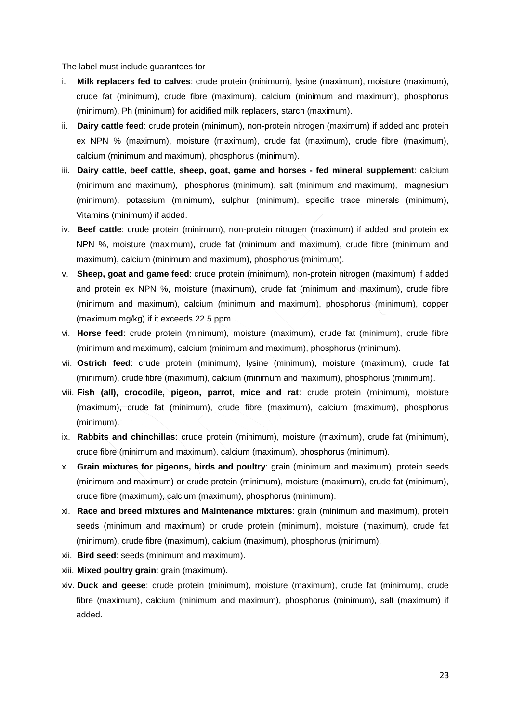The label must include guarantees for -

- i. **Milk replacers fed to calves**: crude protein (minimum), lysine (maximum), moisture (maximum), crude fat (minimum), crude fibre (maximum), calcium (minimum and maximum), phosphorus (minimum), Ph (minimum) for acidified milk replacers, starch (maximum).
- ii. **Dairy cattle feed**: crude protein (minimum), non-protein nitrogen (maximum) if added and protein ex NPN % (maximum), moisture (maximum), crude fat (maximum), crude fibre (maximum), calcium (minimum and maximum), phosphorus (minimum).
- iii. **Dairy cattle, beef cattle, sheep, goat, game and horses - fed mineral supplement**: calcium (minimum and maximum), phosphorus (minimum), salt (minimum and maximum), magnesium (minimum), potassium (minimum), sulphur (minimum), specific trace minerals (minimum), Vitamins (minimum) if added.
- iv. **Beef cattle**: crude protein (minimum), non-protein nitrogen (maximum) if added and protein ex NPN %, moisture (maximum), crude fat (minimum and maximum), crude fibre (minimum and maximum), calcium (minimum and maximum), phosphorus (minimum).
- v. **Sheep, goat and game feed**: crude protein (minimum), non-protein nitrogen (maximum) if added and protein ex NPN %, moisture (maximum), crude fat (minimum and maximum), crude fibre (minimum and maximum), calcium (minimum and maximum), phosphorus (minimum), copper (maximum mg/kg) if it exceeds 22.5 ppm.
- vi. **Horse feed**: crude protein (minimum), moisture (maximum), crude fat (minimum), crude fibre (minimum and maximum), calcium (minimum and maximum), phosphorus (minimum).
- vii. **Ostrich feed**: crude protein (minimum), lysine (minimum), moisture (maximum), crude fat (minimum), crude fibre (maximum), calcium (minimum and maximum), phosphorus (minimum).
- viii. **Fish (all), crocodile, pigeon, parrot, mice and rat**: crude protein (minimum), moisture (maximum), crude fat (minimum), crude fibre (maximum), calcium (maximum), phosphorus (minimum).
- ix. **Rabbits and chinchillas**: crude protein (minimum), moisture (maximum), crude fat (minimum), crude fibre (minimum and maximum), calcium (maximum), phosphorus (minimum).
- x. **Grain mixtures for pigeons, birds and poultry**: grain (minimum and maximum), protein seeds (minimum and maximum) or crude protein (minimum), moisture (maximum), crude fat (minimum), crude fibre (maximum), calcium (maximum), phosphorus (minimum).
- xi. **Race and breed mixtures and Maintenance mixtures**: grain (minimum and maximum), protein seeds (minimum and maximum) or crude protein (minimum), moisture (maximum), crude fat (minimum), crude fibre (maximum), calcium (maximum), phosphorus (minimum).
- xii. **Bird seed**: seeds (minimum and maximum).
- xiii. **Mixed poultry grain**: grain (maximum).
- xiv. **Duck and geese**: crude protein (minimum), moisture (maximum), crude fat (minimum), crude fibre (maximum), calcium (minimum and maximum), phosphorus (minimum), salt (maximum) if added.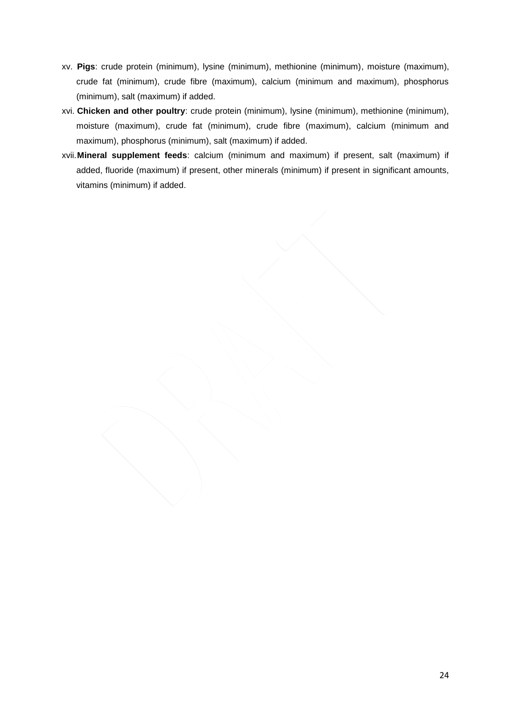- xv. **Pigs**: crude protein (minimum), lysine (minimum), methionine (minimum), moisture (maximum), crude fat (minimum), crude fibre (maximum), calcium (minimum and maximum), phosphorus (minimum), salt (maximum) if added.
- xvi. **Chicken and other poultry**: crude protein (minimum), lysine (minimum), methionine (minimum), moisture (maximum), crude fat (minimum), crude fibre (maximum), calcium (minimum and maximum), phosphorus (minimum), salt (maximum) if added.
- xvii.**Mineral supplement feeds**: calcium (minimum and maximum) if present, salt (maximum) if added, fluoride (maximum) if present, other minerals (minimum) if present in significant amounts, vitamins (minimum) if added.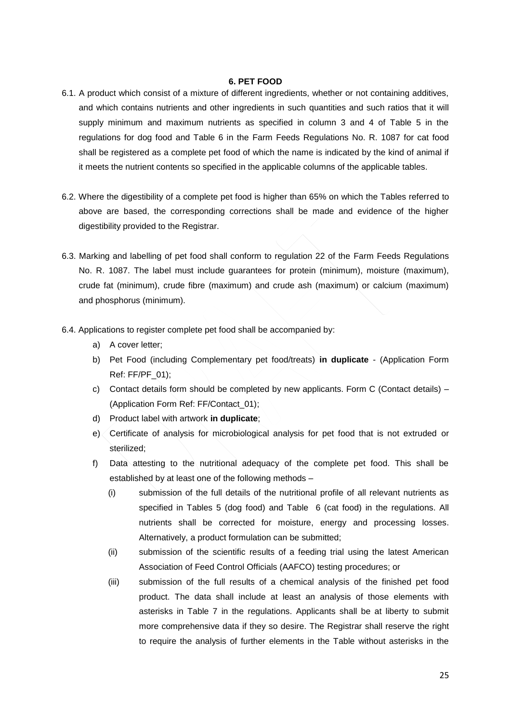#### **6. PET FOOD**

- <span id="page-24-0"></span>6.1. A product which consist of a mixture of different ingredients, whether or not containing additives, and which contains nutrients and other ingredients in such quantities and such ratios that it will supply minimum and maximum nutrients as specified in column 3 and 4 of Table 5 in the regulations for dog food and Table 6 in the Farm Feeds Regulations No. R. 1087 for cat food shall be registered as a complete pet food of which the name is indicated by the kind of animal if it meets the nutrient contents so specified in the applicable columns of the applicable tables.
- 6.2. Where the digestibility of a complete pet food is higher than 65% on which the Tables referred to above are based, the corresponding corrections shall be made and evidence of the higher digestibility provided to the Registrar.
- 6.3. Marking and labelling of pet food shall conform to regulation 22 of the Farm Feeds Regulations No. R. 1087. The label must include guarantees for protein (minimum), moisture (maximum), crude fat (minimum), crude fibre (maximum) and crude ash (maximum) or calcium (maximum) and phosphorus (minimum).
- 6.4. Applications to register complete pet food shall be accompanied by:
	- a) A cover letter;
	- b) Pet Food (including Complementary pet food/treats) **in duplicate** (Application Form Ref: FF/PF\_01);
	- c) Contact details form should be completed by new applicants. Form C (Contact details) (Application Form Ref: FF/Contact\_01);
	- d) Product label with artwork **in duplicate**;
	- e) Certificate of analysis for microbiological analysis for pet food that is not extruded or sterilized;
	- f) Data attesting to the nutritional adequacy of the complete pet food. This shall be established by at least one of the following methods –
		- (i) submission of the full details of the nutritional profile of all relevant nutrients as specified in Tables 5 (dog food) and Table 6 (cat food) in the regulations. All nutrients shall be corrected for moisture, energy and processing losses. Alternatively, a product formulation can be submitted;
		- (ii) submission of the scientific results of a feeding trial using the latest American Association of Feed Control Officials (AAFCO) testing procedures; or
		- (iii) submission of the full results of a chemical analysis of the finished pet food product. The data shall include at least an analysis of those elements with asterisks in Table 7 in the regulations. Applicants shall be at liberty to submit more comprehensive data if they so desire. The Registrar shall reserve the right to require the analysis of further elements in the Table without asterisks in the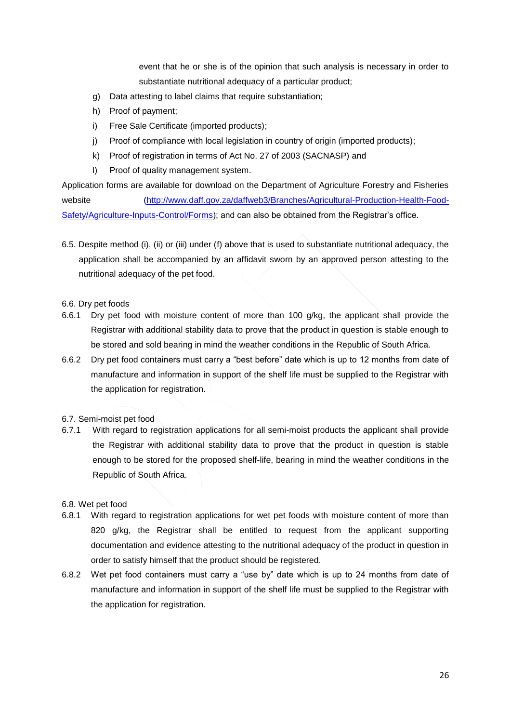event that he or she is of the opinion that such analysis is necessary in order to substantiate nutritional adequacy of a particular product;

- g) Data attesting to label claims that require substantiation;
- h) Proof of payment;
- i) Free Sale Certificate (imported products);
- j) Proof of compliance with local legislation in country of origin (imported products);
- k) Proof of registration in terms of Act No. 27 of 2003 (SACNASP) and
- l) Proof of quality management system.

Application forms are available for download on the Department of Agriculture Forestry and Fisheries website [\(http://www.daff.gov.za/daffweb3/Branches/Agricultural-Production-Health-Food-](http://www.daff.gov.za/daffweb3/Branches/Agricultural-Production-Health-Food-Safety/Agriculture-Inputs-Control/Forms)[Safety/Agriculture-Inputs-Control/Forms\)](http://www.daff.gov.za/daffweb3/Branches/Agricultural-Production-Health-Food-Safety/Agriculture-Inputs-Control/Forms); and can also be obtained from the Registrar's office.

6.5. Despite method (i), (ii) or (iii) under (f) above that is used to substantiate nutritional adequacy, the application shall be accompanied by an affidavit sworn by an approved person attesting to the nutritional adequacy of the pet food.

## 6.6. Dry pet foods

- 6.6.1 Dry pet food with moisture content of more than 100 g/kg, the applicant shall provide the Registrar with additional stability data to prove that the product in question is stable enough to be stored and sold bearing in mind the weather conditions in the Republic of South Africa.
- 6.6.2 Dry pet food containers must carry a "best before" date which is up to 12 months from date of manufacture and information in support of the shelf life must be supplied to the Registrar with the application for registration.
- 6.7. Semi-moist pet food
- 6.7.1 With regard to registration applications for all semi-moist products the applicant shall provide the Registrar with additional stability data to prove that the product in question is stable enough to be stored for the proposed shelf-life, bearing in mind the weather conditions in the Republic of South Africa.

## 6.8. Wet pet food

- 6.8.1 With regard to registration applications for wet pet foods with moisture content of more than 820 g/kg, the Registrar shall be entitled to request from the applicant supporting documentation and evidence attesting to the nutritional adequacy of the product in question in order to satisfy himself that the product should be registered.
- 6.8.2 Wet pet food containers must carry a "use by" date which is up to 24 months from date of manufacture and information in support of the shelf life must be supplied to the Registrar with the application for registration.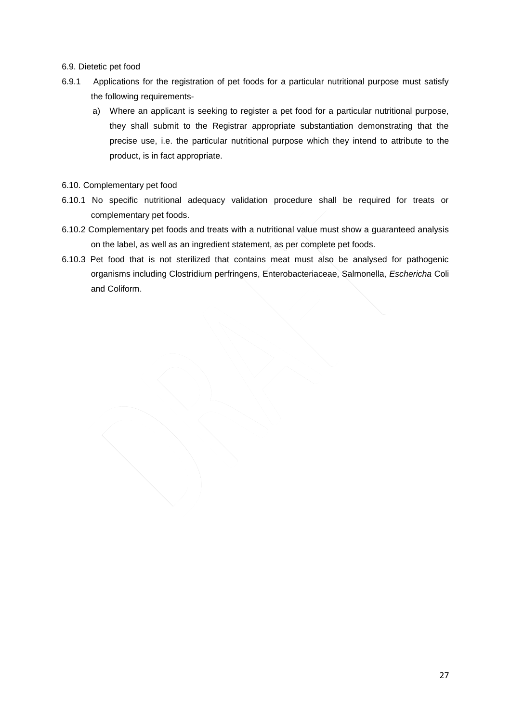## 6.9. Dietetic pet food

- 6.9.1 Applications for the registration of pet foods for a particular nutritional purpose must satisfy the following requirements
	- a) Where an applicant is seeking to register a pet food for a particular nutritional purpose, they shall submit to the Registrar appropriate substantiation demonstrating that the precise use, i.e. the particular nutritional purpose which they intend to attribute to the product, is in fact appropriate.
- 6.10. Complementary pet food
- 6.10.1 No specific nutritional adequacy validation procedure shall be required for treats or complementary pet foods.
- 6.10.2 Complementary pet foods and treats with a nutritional value must show a guaranteed analysis on the label, as well as an ingredient statement, as per complete pet foods.
- 6.10.3 Pet food that is not sterilized that contains meat must also be analysed for pathogenic organisms including Clostridium perfringens, Enterobacteriaceae, Salmonella, *Eschericha* Coli and Coliform.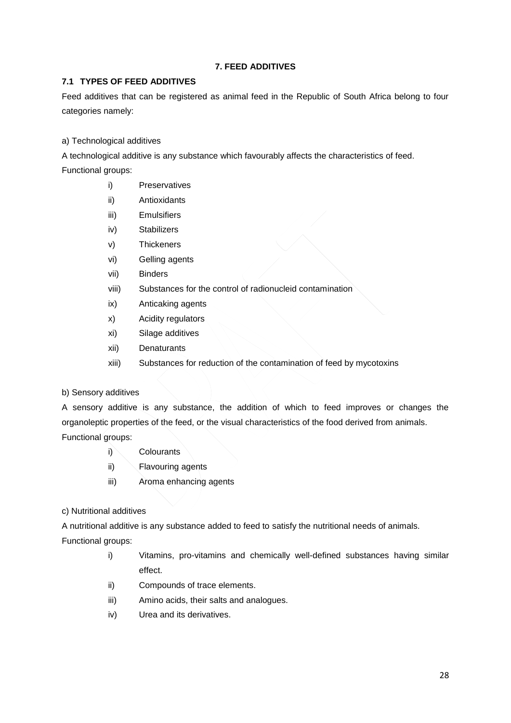## **7. FEED ADDITIVES**

## <span id="page-27-0"></span>**7.1 TYPES OF FEED ADDITIVES**

Feed additives that can be registered as animal feed in the Republic of South Africa belong to four categories namely:

a) Technological additives

A technological additive is any substance which favourably affects the characteristics of feed.

Functional groups:

- i) Preservatives
- ii) Antioxidants
- iii) Emulsifiers
- iv) Stabilizers
- v) Thickeners
- vi) Gelling agents
- vii) Binders
- viii) Substances for the control of radionucleid contamination
- ix) Anticaking agents
- x) Acidity regulators
- xi) Silage additives
- xii) Denaturants
- xiii) Substances for reduction of the contamination of feed by mycotoxins

b) Sensory additives

A sensory additive is any substance, the addition of which to feed improves or changes the organoleptic properties of the feed, or the visual characteristics of the food derived from animals. Functional groups:

- i) Colourants
- ii) Flavouring agents
- iii) Aroma enhancing agents
- c) Nutritional additives

A nutritional additive is any substance added to feed to satisfy the nutritional needs of animals.

Functional groups:

- i) Vitamins, pro-vitamins and chemically well-defined substances having similar effect.
- ii) Compounds of trace elements.
- iii) Amino acids, their salts and analogues.
- iv) Urea and its derivatives.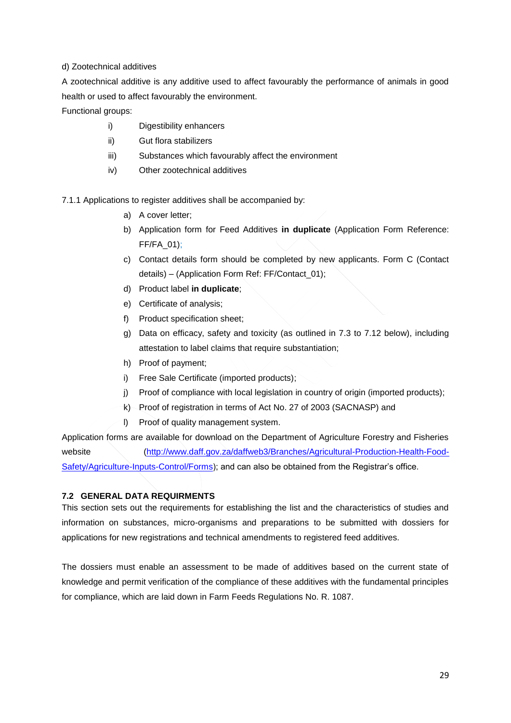## d) Zootechnical additives

A zootechnical additive is any additive used to affect favourably the performance of animals in good health or used to affect favourably the environment.

Functional groups:

- i) Digestibility enhancers
- ii) Gut flora stabilizers
- iii) Substances which favourably affect the environment
- iv) Other zootechnical additives

7.1.1 Applications to register additives shall be accompanied by:

- a) A cover letter;
- b) Application form for Feed Additives **in duplicate** (Application Form Reference: FF/FA\_01);
- c) Contact details form should be completed by new applicants. Form C (Contact details) – (Application Form Ref: FF/Contact\_01);
- d) Product label **in duplicate**;
- e) Certificate of analysis;
- f) Product specification sheet;
- g) Data on efficacy, safety and toxicity (as outlined in 7.3 to 7.12 below), including attestation to label claims that require substantiation;
- h) Proof of payment;
- i) Free Sale Certificate (imported products);
- j) Proof of compliance with local legislation in country of origin (imported products);
- k) Proof of registration in terms of Act No. 27 of 2003 (SACNASP) and
- l) Proof of quality management system.

Application forms are available for download on the Department of Agriculture Forestry and Fisheries website [\(http://www.daff.gov.za/daffweb3/Branches/Agricultural-Production-Health-Food-](http://www.daff.gov.za/daffweb3/Branches/Agricultural-Production-Health-Food-Safety/Agriculture-Inputs-Control/Forms)[Safety/Agriculture-Inputs-Control/Forms\)](http://www.daff.gov.za/daffweb3/Branches/Agricultural-Production-Health-Food-Safety/Agriculture-Inputs-Control/Forms); and can also be obtained from the Registrar's office.

## **7.2 GENERAL DATA REQUIRMENTS**

This section sets out the requirements for establishing the list and the characteristics of studies and information on substances, micro-organisms and preparations to be submitted with dossiers for applications for new registrations and technical amendments to registered feed additives.

The dossiers must enable an assessment to be made of additives based on the current state of knowledge and permit verification of the compliance of these additives with the fundamental principles for compliance, which are laid down in Farm Feeds Regulations No. R. 1087.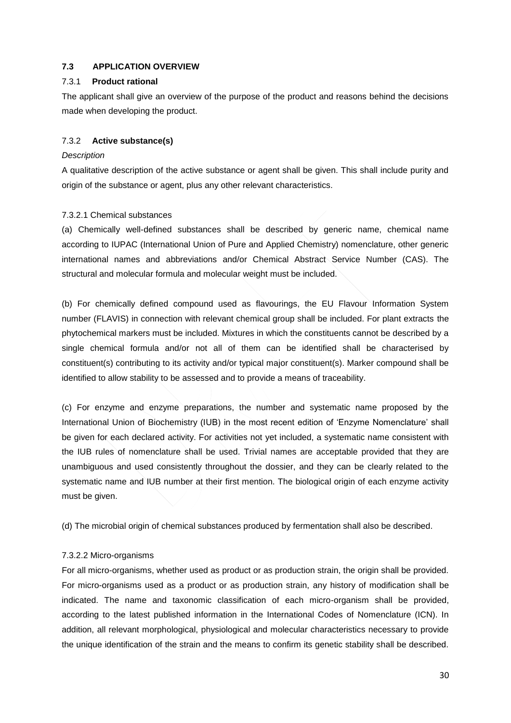## **7.3 APPLICATION OVERVIEW**

## 7.3.1 **Product rational**

The applicant shall give an overview of the purpose of the product and reasons behind the decisions made when developing the product.

## 7.3.2 **Active substance(s)**

## *Description*

A qualitative description of the active substance or agent shall be given. This shall include purity and origin of the substance or agent, plus any other relevant characteristics.

## 7.3.2.1 Chemical substances

(a) Chemically well-defined substances shall be described by generic name, chemical name according to IUPAC (International Union of Pure and Applied Chemistry) nomenclature, other generic international names and abbreviations and/or Chemical Abstract Service Number (CAS). The structural and molecular formula and molecular weight must be included.

(b) For chemically defined compound used as flavourings, the EU Flavour Information System number (FLAVIS) in connection with relevant chemical group shall be included. For plant extracts the phytochemical markers must be included. Mixtures in which the constituents cannot be described by a single chemical formula and/or not all of them can be identified shall be characterised by constituent(s) contributing to its activity and/or typical major constituent(s). Marker compound shall be identified to allow stability to be assessed and to provide a means of traceability.

(c) For enzyme and enzyme preparations, the number and systematic name proposed by the International Union of Biochemistry (IUB) in the most recent edition of 'Enzyme Nomenclature' shall be given for each declared activity. For activities not yet included, a systematic name consistent with the IUB rules of nomenclature shall be used. Trivial names are acceptable provided that they are unambiguous and used consistently throughout the dossier, and they can be clearly related to the systematic name and IUB number at their first mention. The biological origin of each enzyme activity must be given.

(d) The microbial origin of chemical substances produced by fermentation shall also be described.

## 7.3.2.2 Micro-organisms

For all micro-organisms, whether used as product or as production strain, the origin shall be provided. For micro-organisms used as a product or as production strain, any history of modification shall be indicated. The name and taxonomic classification of each micro-organism shall be provided, according to the latest published information in the International Codes of Nomenclature (ICN). In addition, all relevant morphological, physiological and molecular characteristics necessary to provide the unique identification of the strain and the means to confirm its genetic stability shall be described.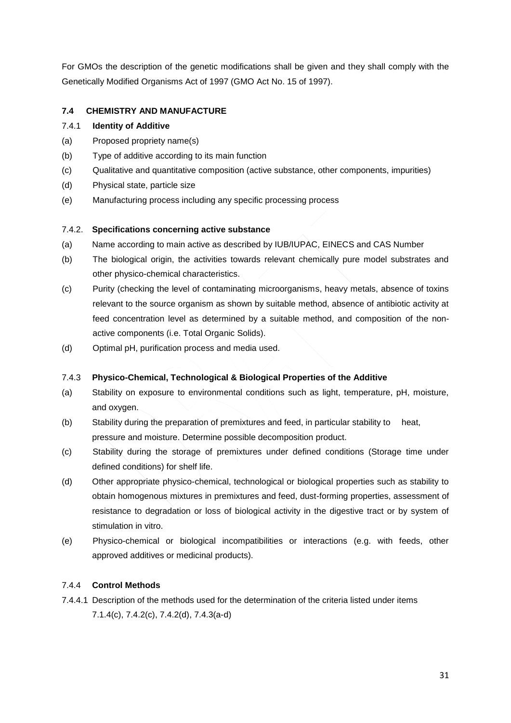For GMOs the description of the genetic modifications shall be given and they shall comply with the Genetically Modified Organisms Act of 1997 (GMO Act No. 15 of 1997).

## **7.4 CHEMISTRY AND MANUFACTURE**

#### 7.4.1 **Identity of Additive**

- (a) Proposed propriety name(s)
- (b) Type of additive according to its main function
- (c) Qualitative and quantitative composition (active substance, other components, impurities)
- (d) Physical state, particle size
- (e) Manufacturing process including any specific processing process

## 7.4.2. **Specifications concerning active substance**

- (a) Name according to main active as described by IUB/IUPAC, EINECS and CAS Number
- (b) The biological origin, the activities towards relevant chemically pure model substrates and other physico-chemical characteristics.
- (c) Purity (checking the level of contaminating microorganisms, heavy metals, absence of toxins relevant to the source organism as shown by suitable method, absence of antibiotic activity at feed concentration level as determined by a suitable method, and composition of the nonactive components (i.e. Total Organic Solids).
- (d) Optimal pH, purification process and media used.

## 7.4.3 **Physico-Chemical, Technological & Biological Properties of the Additive**

- (a) Stability on exposure to environmental conditions such as light, temperature, pH, moisture, and oxygen.
- (b) Stability during the preparation of premixtures and feed, in particular stability to heat, pressure and moisture. Determine possible decomposition product.
- (c) Stability during the storage of premixtures under defined conditions (Storage time under defined conditions) for shelf life.
- (d) Other appropriate physico-chemical, technological or biological properties such as stability to obtain homogenous mixtures in premixtures and feed, dust-forming properties, assessment of resistance to degradation or loss of biological activity in the digestive tract or by system of stimulation in vitro.
- (e) Physico-chemical or biological incompatibilities or interactions (e.g. with feeds, other approved additives or medicinal products).

## 7.4.4 **Control Methods**

7.4.4.1 Description of the methods used for the determination of the criteria listed under items 7.1.4(c), 7.4.2(c), 7.4.2(d), 7.4.3(a-d)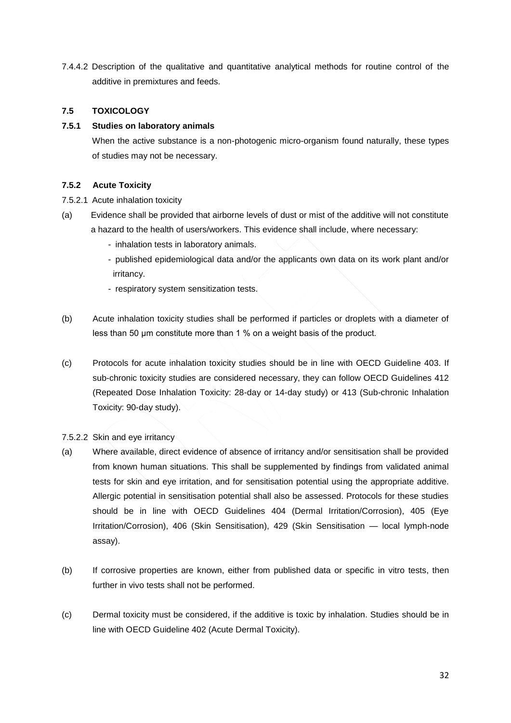7.4.4.2 Description of the qualitative and quantitative analytical methods for routine control of the additive in premixtures and feeds.

## **7.5 TOXICOLOGY**

#### **7.5.1 Studies on laboratory animals**

When the active substance is a non-photogenic micro-organism found naturally, these types of studies may not be necessary.

## **7.5.2 Acute Toxicity**

- 7.5.2.1 Acute inhalation toxicity
- (a) Evidence shall be provided that airborne levels of dust or mist of the additive will not constitute a hazard to the health of users/workers. This evidence shall include, where necessary:
	- inhalation tests in laboratory animals.
	- published epidemiological data and/or the applicants own data on its work plant and/or irritancy.
	- respiratory system sensitization tests.
- (b) Acute inhalation toxicity studies shall be performed if particles or droplets with a diameter of less than 50 μm constitute more than 1 % on a weight basis of the product.
- (c) Protocols for acute inhalation toxicity studies should be in line with OECD Guideline 403. If sub-chronic toxicity studies are considered necessary, they can follow OECD Guidelines 412 (Repeated Dose Inhalation Toxicity: 28-day or 14-day study) or 413 (Sub-chronic Inhalation Toxicity: 90-day study).
- 7.5.2.2 Skin and eye irritancy
- (a) Where available, direct evidence of absence of irritancy and/or sensitisation shall be provided from known human situations. This shall be supplemented by findings from validated animal tests for skin and eye irritation, and for sensitisation potential using the appropriate additive. Allergic potential in sensitisation potential shall also be assessed. Protocols for these studies should be in line with OECD Guidelines 404 (Dermal Irritation/Corrosion), 405 (Eye Irritation/Corrosion), 406 (Skin Sensitisation), 429 (Skin Sensitisation — local lymph-node assay).
- (b) If corrosive properties are known, either from published data or specific in vitro tests, then further in vivo tests shall not be performed.
- (c) Dermal toxicity must be considered, if the additive is toxic by inhalation. Studies should be in line with OECD Guideline 402 (Acute Dermal Toxicity).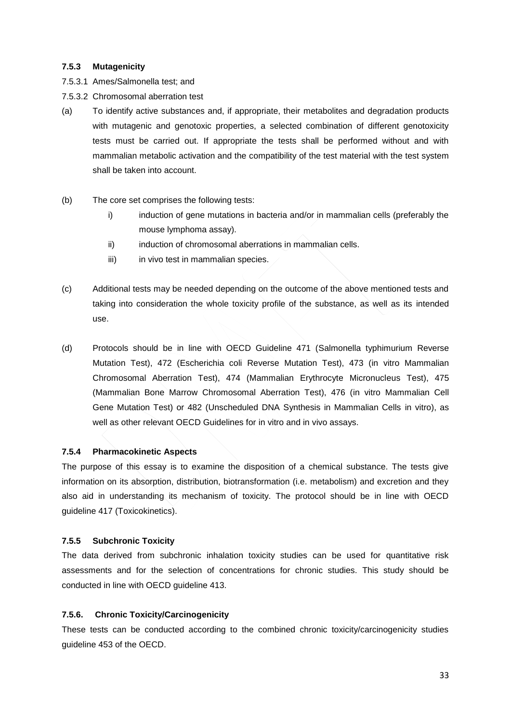## **7.5.3 Mutagenicity**

- 7.5.3.1 Ames/Salmonella test; and
- 7.5.3.2 Chromosomal aberration test
- (a) To identify active substances and, if appropriate, their metabolites and degradation products with mutagenic and genotoxic properties, a selected combination of different genotoxicity tests must be carried out. If appropriate the tests shall be performed without and with mammalian metabolic activation and the compatibility of the test material with the test system shall be taken into account.
- (b) The core set comprises the following tests:
	- i) induction of gene mutations in bacteria and/or in mammalian cells (preferably the mouse lymphoma assay).
	- ii) induction of chromosomal aberrations in mammalian cells.
	- iii) in vivo test in mammalian species.
- (c) Additional tests may be needed depending on the outcome of the above mentioned tests and taking into consideration the whole toxicity profile of the substance, as well as its intended use.
- (d) Protocols should be in line with OECD Guideline 471 (Salmonella typhimurium Reverse Mutation Test), 472 (Escherichia coli Reverse Mutation Test), 473 (in vitro Mammalian Chromosomal Aberration Test), 474 (Mammalian Erythrocyte Micronucleus Test), 475 (Mammalian Bone Marrow Chromosomal Aberration Test), 476 (in vitro Mammalian Cell Gene Mutation Test) or 482 (Unscheduled DNA Synthesis in Mammalian Cells in vitro), as well as other relevant OECD Guidelines for in vitro and in vivo assays.

#### **7.5.4 Pharmacokinetic Aspects**

The purpose of this essay is to examine the disposition of a chemical substance. The tests give information on its absorption, distribution, biotransformation (i.e. metabolism) and excretion and they also aid in understanding its mechanism of toxicity. The protocol should be in line with OECD guideline 417 (Toxicokinetics).

#### **7.5.5 Subchronic Toxicity**

The data derived from subchronic inhalation toxicity studies can be used for quantitative risk assessments and for the selection of concentrations for chronic studies. This study should be conducted in line with OECD guideline 413.

## **7.5.6. Chronic Toxicity/Carcinogenicity**

These tests can be conducted according to the combined chronic toxicity/carcinogenicity studies guideline 453 of the OECD.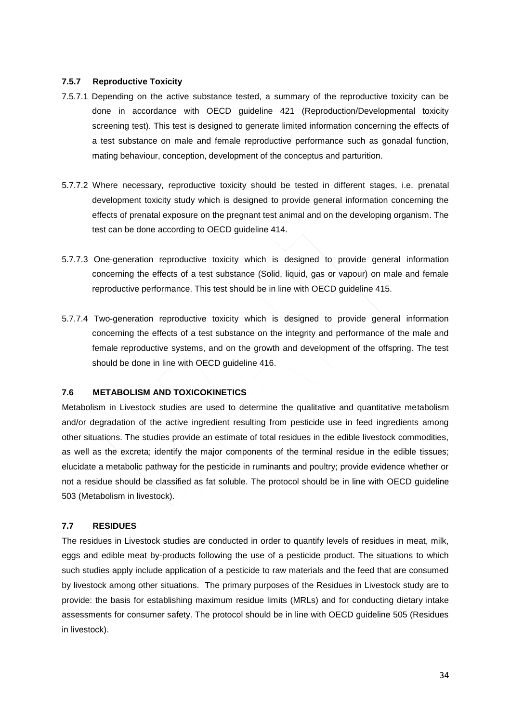#### **7.5.7 Reproductive Toxicity**

- 7.5.7.1 Depending on the active substance tested, a summary of the reproductive toxicity can be done in accordance with OECD guideline 421 (Reproduction/Developmental toxicity screening test). This test is designed to generate limited information concerning the effects of a test substance on male and female reproductive performance such as gonadal function, mating behaviour, conception, development of the conceptus and parturition.
- 5.7.7.2 Where necessary, reproductive toxicity should be tested in different stages, i.e. prenatal development toxicity study which is designed to provide general information concerning the effects of prenatal exposure on the pregnant test animal and on the developing organism. The test can be done according to OECD guideline 414.
- 5.7.7.3 One-generation reproductive toxicity which is designed to provide general information concerning the effects of a test substance (Solid, liquid, gas or vapour) on male and female reproductive performance. This test should be in line with OECD guideline 415.
- 5.7.7.4 Two-generation reproductive toxicity which is designed to provide general information concerning the effects of a test substance on the integrity and performance of the male and female reproductive systems, and on the growth and development of the offspring. The test should be done in line with OECD guideline 416.

## **7.6 METABOLISM AND TOXICOKINETICS**

Metabolism in Livestock studies are used to determine the qualitative and quantitative metabolism and/or degradation of the active ingredient resulting from pesticide use in feed ingredients among other situations. The studies provide an estimate of total residues in the edible livestock commodities, as well as the excreta; identify the major components of the terminal residue in the edible tissues; elucidate a metabolic pathway for the pesticide in ruminants and poultry; provide evidence whether or not a residue should be classified as fat soluble. The protocol should be in line with OECD guideline 503 (Metabolism in livestock).

#### **7.7 RESIDUES**

The residues in Livestock studies are conducted in order to quantify levels of residues in meat, milk, eggs and edible meat by-products following the use of a pesticide product. The situations to which such studies apply include application of a pesticide to raw materials and the feed that are consumed by livestock among other situations. The primary purposes of the Residues in Livestock study are to provide: the basis for establishing maximum residue limits (MRLs) and for conducting dietary intake assessments for consumer safety. The protocol should be in line with OECD guideline 505 (Residues in livestock).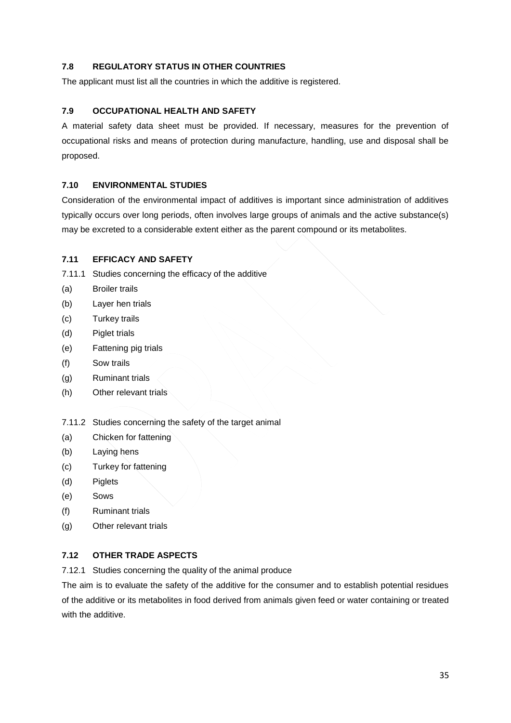## **7.8 REGULATORY STATUS IN OTHER COUNTRIES**

The applicant must list all the countries in which the additive is registered.

## **7.9 OCCUPATIONAL HEALTH AND SAFETY**

A material safety data sheet must be provided. If necessary, measures for the prevention of occupational risks and means of protection during manufacture, handling, use and disposal shall be proposed.

## **7.10 ENVIRONMENTAL STUDIES**

Consideration of the environmental impact of additives is important since administration of additives typically occurs over long periods, often involves large groups of animals and the active substance(s) may be excreted to a considerable extent either as the parent compound or its metabolites.

## **7.11 EFFICACY AND SAFETY**

- 7.11.1 Studies concerning the efficacy of the additive
- (a) Broiler trails
- (b) Layer hen trials
- (c) Turkey trails
- (d) Piglet trials
- (e) Fattening pig trials
- (f) Sow trails
- (g) Ruminant trials
- (h) Other relevant trials

7.11.2 Studies concerning the safety of the target animal

- (a) Chicken for fattening
- (b) Laying hens
- (c) Turkey for fattening
- (d) Piglets
- (e) Sows
- (f) Ruminant trials
- (g) Other relevant trials

## **7.12 OTHER TRADE ASPECTS**

7.12.1 Studies concerning the quality of the animal produce

The aim is to evaluate the safety of the additive for the consumer and to establish potential residues of the additive or its metabolites in food derived from animals given feed or water containing or treated with the additive.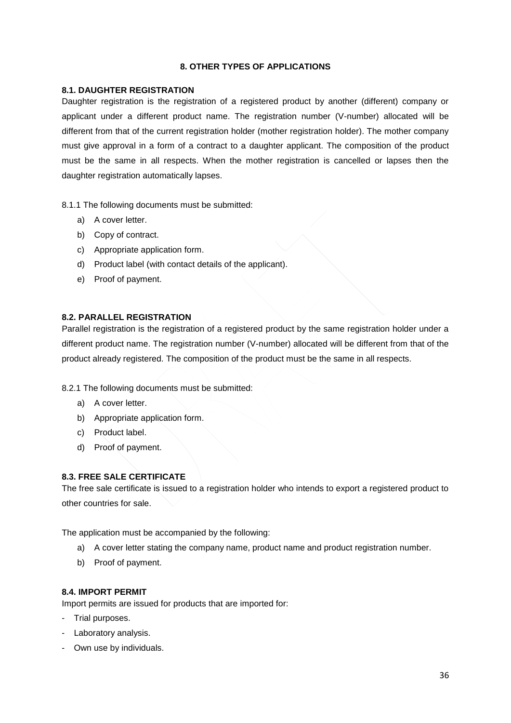## **8. OTHER TYPES OF APPLICATIONS**

#### <span id="page-35-1"></span><span id="page-35-0"></span>**8.1. DAUGHTER REGISTRATION**

Daughter registration is the registration of a registered product by another (different) company or applicant under a different product name. The registration number (V-number) allocated will be different from that of the current registration holder (mother registration holder). The mother company must give approval in a form of a contract to a daughter applicant. The composition of the product must be the same in all respects. When the mother registration is cancelled or lapses then the daughter registration automatically lapses.

8.1.1 The following documents must be submitted:

- a) A cover letter.
- b) Copy of contract.
- c) Appropriate application form.
- d) Product label (with contact details of the applicant).
- e) Proof of payment.

## <span id="page-35-2"></span>**8.2. PARALLEL REGISTRATION**

Parallel registration is the registration of a registered product by the same registration holder under a different product name. The registration number (V-number) allocated will be different from that of the product already registered. The composition of the product must be the same in all respects.

8.2.1 The following documents must be submitted:

- a) A cover letter.
- b) Appropriate application form.
- c) Product label.
- d) Proof of payment.

#### <span id="page-35-3"></span>**8.3. FREE SALE CERTIFICATE**

The free sale certificate is issued to a registration holder who intends to export a registered product to other countries for sale.

The application must be accompanied by the following:

- a) A cover letter stating the company name, product name and product registration number.
- b) Proof of payment.

#### <span id="page-35-4"></span>**8.4. IMPORT PERMIT**

Import permits are issued for products that are imported for:

- Trial purposes.
- Laboratory analysis.
- Own use by individuals.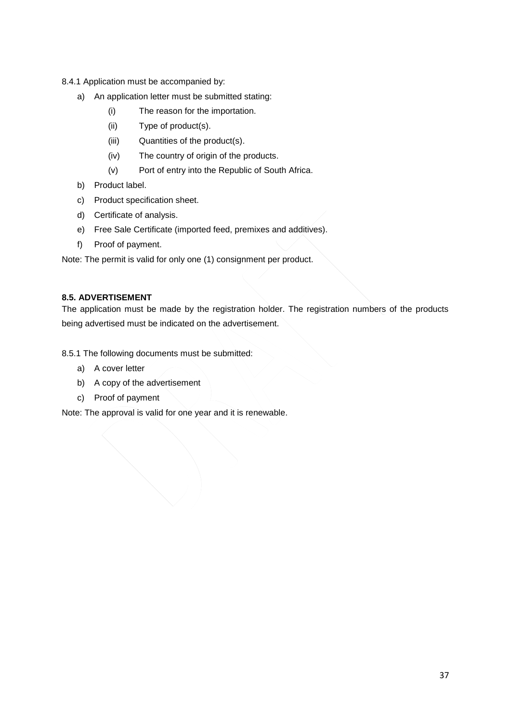8.4.1 Application must be accompanied by:

- a) An application letter must be submitted stating:
	- (i) The reason for the importation.
	- (ii) Type of product(s).
	- (iii) Quantities of the product(s).
	- (iv) The country of origin of the products.
	- (v) Port of entry into the Republic of South Africa.
- b) Product label.
- c) Product specification sheet.
- d) Certificate of analysis.
- e) Free Sale Certificate (imported feed, premixes and additives).
- f) Proof of payment.

Note: The permit is valid for only one (1) consignment per product.

## <span id="page-36-0"></span>**8.5. ADVERTISEMENT**

The application must be made by the registration holder. The registration numbers of the products being advertised must be indicated on the advertisement.

8.5.1 The following documents must be submitted:

- a) A cover letter
- b) A copy of the advertisement
- c) Proof of payment

Note: The approval is valid for one year and it is renewable.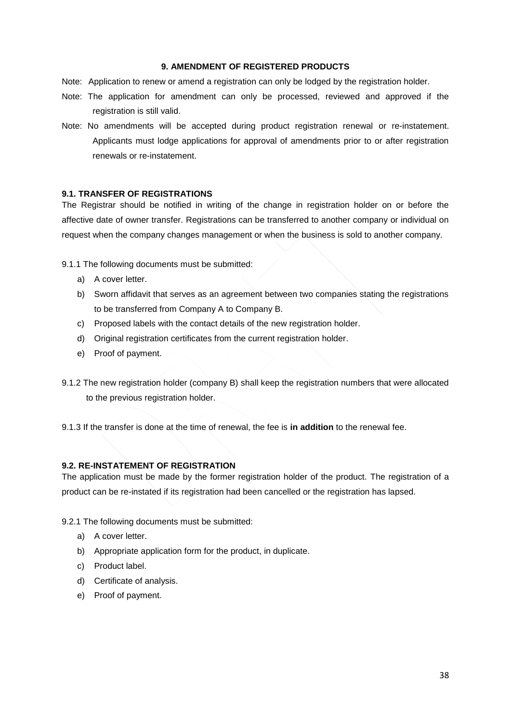#### **9. AMENDMENT OF REGISTERED PRODUCTS**

- <span id="page-37-0"></span>Note: Application to renew or amend a registration can only be lodged by the registration holder.
- Note: The application for amendment can only be processed, reviewed and approved if the registration is still valid.
- Note: No amendments will be accepted during product registration renewal or re-instatement. Applicants must lodge applications for approval of amendments prior to or after registration renewals or re-instatement.

#### <span id="page-37-1"></span>**9.1. TRANSFER OF REGISTRATIONS**

The Registrar should be notified in writing of the change in registration holder on or before the affective date of owner transfer. Registrations can be transferred to another company or individual on request when the company changes management or when the business is sold to another company.

9.1.1 The following documents must be submitted:

- a) A cover letter.
- b) Sworn affidavit that serves as an agreement between two companies stating the registrations to be transferred from Company A to Company B.
- c) Proposed labels with the contact details of the new registration holder.
- d) Original registration certificates from the current registration holder.
- e) Proof of payment.
- 9.1.2 The new registration holder (company B) shall keep the registration numbers that were allocated to the previous registration holder.

9.1.3 If the transfer is done at the time of renewal, the fee is **in addition** to the renewal fee.

## <span id="page-37-2"></span>**9.2. RE-INSTATEMENT OF REGISTRATION**

The application must be made by the former registration holder of the product. The registration of a product can be re-instated if its registration had been cancelled or the registration has lapsed.

9.2.1 The following documents must be submitted:

- a) A cover letter.
- b) Appropriate application form for the product, in duplicate.
- c) Product label.
- d) Certificate of analysis.
- e) Proof of payment.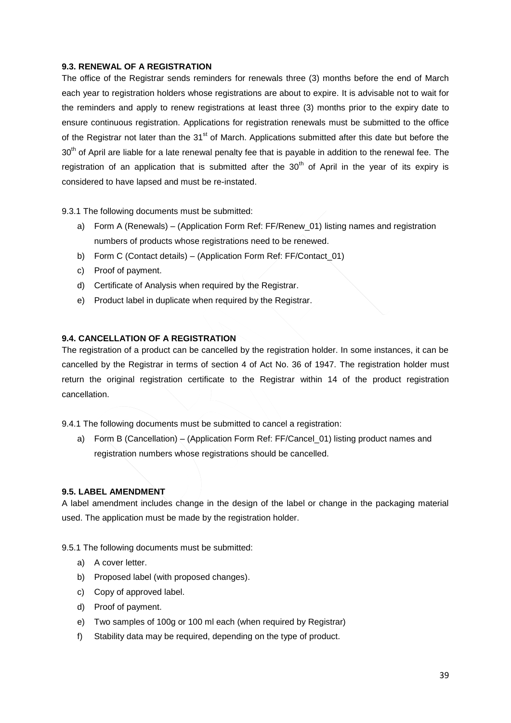## <span id="page-38-0"></span>**9.3. RENEWAL OF A REGISTRATION**

The office of the Registrar sends reminders for renewals three (3) months before the end of March each year to registration holders whose registrations are about to expire. It is advisable not to wait for the reminders and apply to renew registrations at least three (3) months prior to the expiry date to ensure continuous registration. Applications for registration renewals must be submitted to the office of the Registrar not later than the 31<sup>st</sup> of March. Applications submitted after this date but before the 30<sup>th</sup> of April are liable for a late renewal penalty fee that is payable in addition to the renewal fee. The registration of an application that is submitted after the  $30<sup>th</sup>$  of April in the year of its expiry is considered to have lapsed and must be re-instated.

9.3.1 The following documents must be submitted:

- a) Form A (Renewals) (Application Form Ref: FF/Renew\_01) listing names and registration numbers of products whose registrations need to be renewed.
- b) Form C (Contact details) (Application Form Ref: FF/Contact\_01)
- c) Proof of payment.
- d) Certificate of Analysis when required by the Registrar.
- e) Product label in duplicate when required by the Registrar.

#### <span id="page-38-1"></span>**9.4. CANCELLATION OF A REGISTRATION**

The registration of a product can be cancelled by the registration holder. In some instances, it can be cancelled by the Registrar in terms of section 4 of Act No. 36 of 1947. The registration holder must return the original registration certificate to the Registrar within 14 of the product registration cancellation.

9.4.1 The following documents must be submitted to cancel a registration:

a) Form B (Cancellation) – (Application Form Ref: FF/Cancel\_01) listing product names and registration numbers whose registrations should be cancelled.

#### <span id="page-38-2"></span>**9.5. LABEL AMENDMENT**

A label amendment includes change in the design of the label or change in the packaging material used. The application must be made by the registration holder.

9.5.1 The following documents must be submitted:

- a) A cover letter.
- b) Proposed label (with proposed changes).
- c) Copy of approved label.
- d) Proof of payment.
- e) Two samples of 100g or 100 ml each (when required by Registrar)
- f) Stability data may be required, depending on the type of product.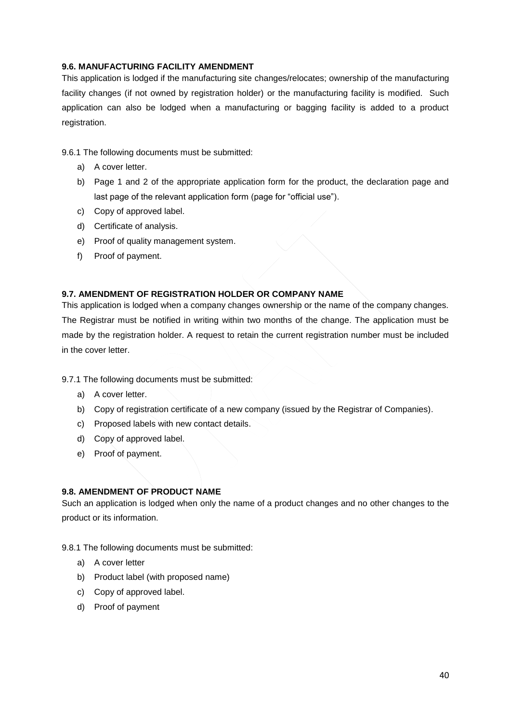## <span id="page-39-0"></span>**9.6. MANUFACTURING FACILITY AMENDMENT**

This application is lodged if the manufacturing site changes/relocates; ownership of the manufacturing facility changes (if not owned by registration holder) or the manufacturing facility is modified. Such application can also be lodged when a manufacturing or bagging facility is added to a product registration.

9.6.1 The following documents must be submitted:

- a) A cover letter.
- b) Page 1 and 2 of the appropriate application form for the product, the declaration page and last page of the relevant application form (page for "official use").
- c) Copy of approved label.
- d) Certificate of analysis.
- e) Proof of quality management system.
- f) Proof of payment.

## <span id="page-39-1"></span>**9.7. AMENDMENT OF REGISTRATION HOLDER OR COMPANY NAME**

This application is lodged when a company changes ownership or the name of the company changes. The Registrar must be notified in writing within two months of the change. The application must be made by the registration holder. A request to retain the current registration number must be included in the cover letter.

9.7.1 The following documents must be submitted:

- a) A cover letter.
- b) Copy of registration certificate of a new company (issued by the Registrar of Companies).
- c) Proposed labels with new contact details.
- d) Copy of approved label.
- e) Proof of payment.

## <span id="page-39-2"></span>**9.8. AMENDMENT OF PRODUCT NAME**

Such an application is lodged when only the name of a product changes and no other changes to the product or its information.

9.8.1 The following documents must be submitted:

- a) A cover letter
- b) Product label (with proposed name)
- c) Copy of approved label.
- d) Proof of payment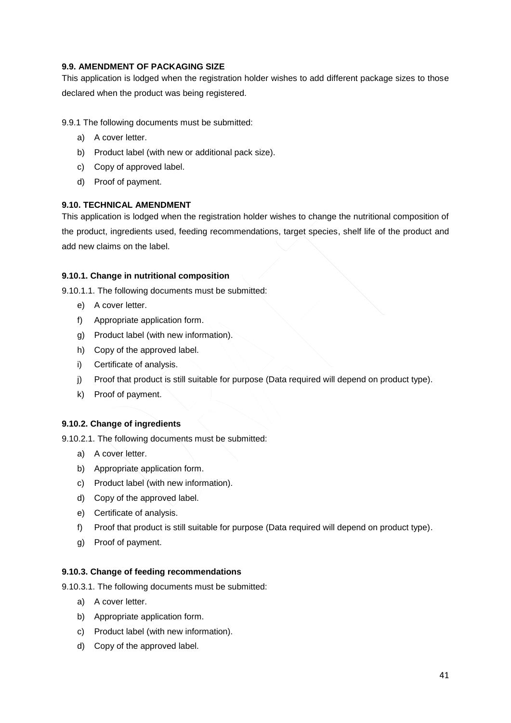## <span id="page-40-0"></span>**9.9. AMENDMENT OF PACKAGING SIZE**

This application is lodged when the registration holder wishes to add different package sizes to those declared when the product was being registered.

9.9.1 The following documents must be submitted:

- a) A cover letter.
- b) Product label (with new or additional pack size).
- c) Copy of approved label.
- d) Proof of payment.

## <span id="page-40-1"></span>**9.10. TECHNICAL AMENDMENT**

This application is lodged when the registration holder wishes to change the nutritional composition of the product, ingredients used, feeding recommendations, target species, shelf life of the product and add new claims on the label.

## **9.10.1. Change in nutritional composition**

9.10.1.1. The following documents must be submitted:

- e) A cover letter.
- f) Appropriate application form.
- g) Product label (with new information).
- h) Copy of the approved label.
- i) Certificate of analysis.
- j) Proof that product is still suitable for purpose (Data required will depend on product type).
- k) Proof of payment.

## **9.10.2. Change of ingredients**

9.10.2.1. The following documents must be submitted:

- a) A cover letter.
- b) Appropriate application form.
- c) Product label (with new information).
- d) Copy of the approved label.
- e) Certificate of analysis.
- f) Proof that product is still suitable for purpose (Data required will depend on product type).
- g) Proof of payment.

## **9.10.3. Change of feeding recommendations**

9.10.3.1. The following documents must be submitted:

- a) A cover letter.
- b) Appropriate application form.
- c) Product label (with new information).
- d) Copy of the approved label.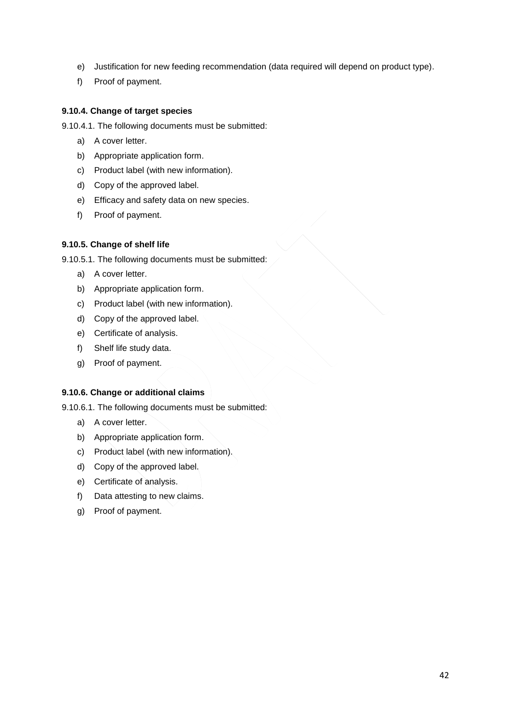- e) Justification for new feeding recommendation (data required will depend on product type).
- f) Proof of payment.

## **9.10.4. Change of target species**

9.10.4.1. The following documents must be submitted:

- a) A cover letter.
- b) Appropriate application form.
- c) Product label (with new information).
- d) Copy of the approved label.
- e) Efficacy and safety data on new species.
- f) Proof of payment.

## **9.10.5. Change of shelf life**

9.10.5.1. The following documents must be submitted:

- a) A cover letter.
- b) Appropriate application form.
- c) Product label (with new information).
- d) Copy of the approved label.
- e) Certificate of analysis.
- f) Shelf life study data.
- g) Proof of payment.

## **9.10.6. Change or additional claims**

9.10.6.1. The following documents must be submitted:

- a) A cover letter.
- b) Appropriate application form.
- c) Product label (with new information).
- d) Copy of the approved label.
- e) Certificate of analysis.
- f) Data attesting to new claims.
- g) Proof of payment.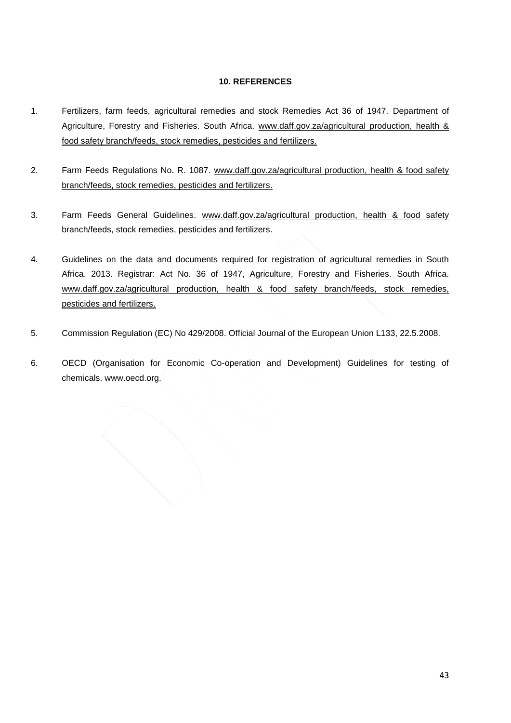## **10. REFERENCES**

- 1. Fertilizers, farm feeds, agricultural remedies and stock Remedies Act 36 of 1947. Department of Agriculture, Forestry and Fisheries. South Africa. [www.daff.gov.za/agricultural](http://www.daff.gov.za/agricultural) production, health & food safety branch/feeds, stock remedies, pesticides and fertilizers.
- 2. Farm Feeds Regulations No. R. 1087. [www.daff.gov.za/agricultural](http://www.daff.gov.za/agricultural) production, health & food safety branch/feeds, stock remedies, pesticides and fertilizers.
- 3. Farm Feeds General Guidelines. [www.daff.gov.za/agricultural](http://www.daff.gov.za/agricultural) production, health & food safety branch/feeds, stock remedies, pesticides and fertilizers.
- 4. Guidelines on the data and documents required for registration of agricultural remedies in South Africa. 2013. Registrar: Act No. 36 of 1947, Agriculture, Forestry and Fisheries. South Africa. [www.daff.gov.za/agricultural](http://www.daff.gov.za/agricultural) production, health & food safety branch/feeds, stock remedies, pesticides and fertilizers.
- 5. Commission Regulation (EC) No 429/2008. Official Journal of the European Union L133, 22.5.2008.
- 6. OECD (Organisation for Economic Co-operation and Development) Guidelines for testing of chemicals. [www.oecd.org.](http://www.oecd.org/)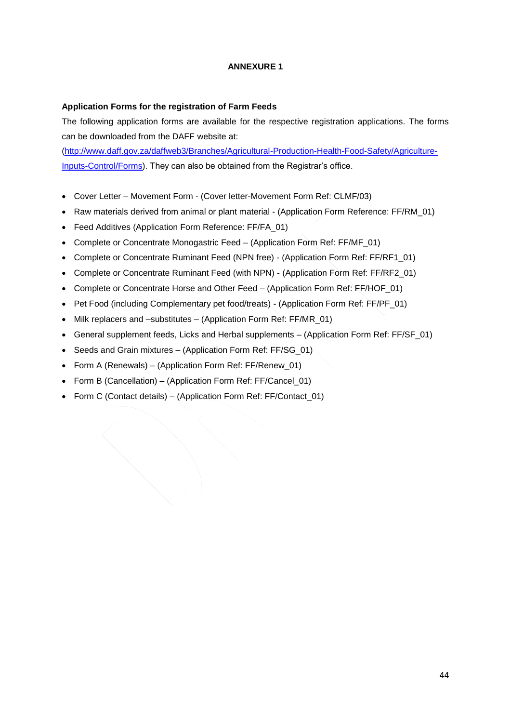## **ANNEXURE 1**

#### **Application Forms for the registration of Farm Feeds**

The following application forms are available for the respective registration applications. The forms can be downloaded from the DAFF website at:

[\(http://www.daff.gov.za/daffweb3/Branches/Agricultural-Production-Health-Food-Safety/Agriculture-](http://www.daff.gov.za/daffweb3/Branches/Agricultural-Production-Health-Food-Safety/Agriculture-Inputs-Control/Forms)[Inputs-Control/Forms\)](http://www.daff.gov.za/daffweb3/Branches/Agricultural-Production-Health-Food-Safety/Agriculture-Inputs-Control/Forms). They can also be obtained from the Registrar's office.

- Cover Letter Movement Form (Cover letter-Movement Form Ref: CLMF/03)
- Raw materials derived from animal or plant material (Application Form Reference: FF/RM\_01)
- Feed Additives (Application Form Reference: FF/FA\_01)
- Complete or Concentrate Monogastric Feed (Application Form Ref: FF/MF\_01)
- Complete or Concentrate Ruminant Feed (NPN free) (Application Form Ref: FF/RF1\_01)
- Complete or Concentrate Ruminant Feed (with NPN) (Application Form Ref: FF/RF2\_01)
- Complete or Concentrate Horse and Other Feed (Application Form Ref: FF/HOF 01)
- Pet Food (including Complementary pet food/treats) (Application Form Ref: FF/PF\_01)
- Milk replacers and –substitutes (Application Form Ref: FF/MR 01)
- General supplement feeds, Licks and Herbal supplements (Application Form Ref: FF/SF\_01)
- Seeds and Grain mixtures (Application Form Ref: FF/SG\_01)
- Form A (Renewals) (Application Form Ref: FF/Renew 01)
- Form B (Cancellation) (Application Form Ref: FF/Cancel  $\overline{01}$ )
- Form C (Contact details) (Application Form Ref: FF/Contact\_01)